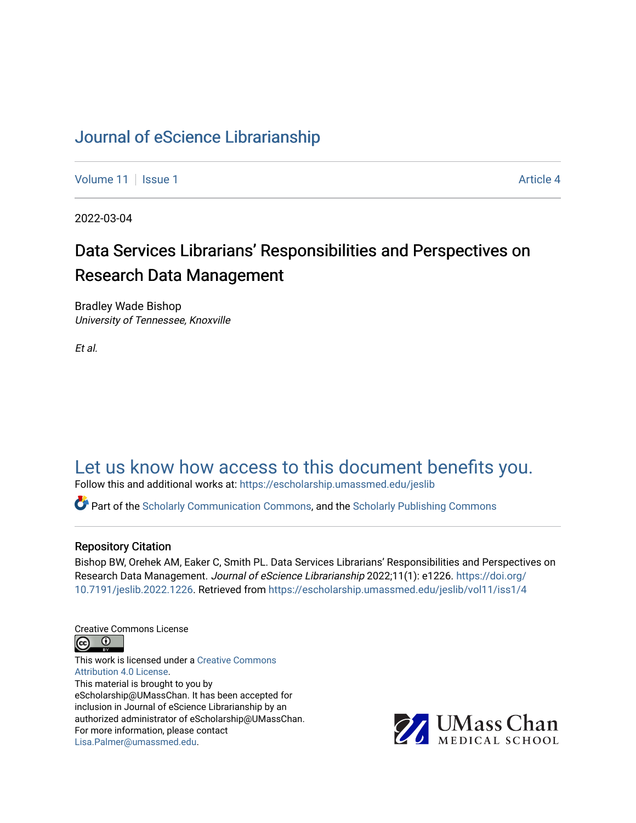# [Journal of eScience Librarianship](https://escholarship.umassmed.edu/jeslib)

[Volume 11](https://escholarship.umassmed.edu/jeslib/vol11) | [Issue 1](https://escholarship.umassmed.edu/jeslib/vol11/iss1) Article 4

2022-03-04

# Data Services Librarians' Responsibilities and Perspectives on Research Data Management

Bradley Wade Bishop University of Tennessee, Knoxville

Et al.

# [Let us know how access to this document benefits you.](https://arcsapps.umassmed.edu/redcap/surveys/?s=XWRHNF9EJE)

Follow this and additional works at: [https://escholarship.umassmed.edu/jeslib](https://escholarship.umassmed.edu/jeslib?utm_source=escholarship.umassmed.edu%2Fjeslib%2Fvol11%2Fiss1%2F4&utm_medium=PDF&utm_campaign=PDFCoverPages) 

Part of the [Scholarly Communication Commons,](http://network.bepress.com/hgg/discipline/1272?utm_source=escholarship.umassmed.edu%2Fjeslib%2Fvol11%2Fiss1%2F4&utm_medium=PDF&utm_campaign=PDFCoverPages) and the [Scholarly Publishing Commons](http://network.bepress.com/hgg/discipline/1273?utm_source=escholarship.umassmed.edu%2Fjeslib%2Fvol11%2Fiss1%2F4&utm_medium=PDF&utm_campaign=PDFCoverPages)

#### Repository Citation

Bishop BW, Orehek AM, Eaker C, Smith PL. Data Services Librarians' Responsibilities and Perspectives on Research Data Management. Journal of eScience Librarianship 2022;11(1): e1226. [https://doi.org/](https://doi.org/10.7191/jeslib.2022.1226) [10.7191/jeslib.2022.1226.](https://doi.org/10.7191/jeslib.2022.1226) Retrieved from [https://escholarship.umassmed.edu/jeslib/vol11/iss1/4](https://escholarship.umassmed.edu/jeslib/vol11/iss1/4?utm_source=escholarship.umassmed.edu%2Fjeslib%2Fvol11%2Fiss1%2F4&utm_medium=PDF&utm_campaign=PDFCoverPages)

Creative Commons License



This work is licensed under a [Creative Commons](https://creativecommons.org/licenses/by/4.0/) [Attribution 4.0 License.](https://creativecommons.org/licenses/by/4.0/) This material is brought to you by eScholarship@UMassChan. It has been accepted for inclusion in Journal of eScience Librarianship by an authorized administrator of eScholarship@UMassChan. For more information, please contact [Lisa.Palmer@umassmed.edu](mailto:Lisa.Palmer@umassmed.edu).

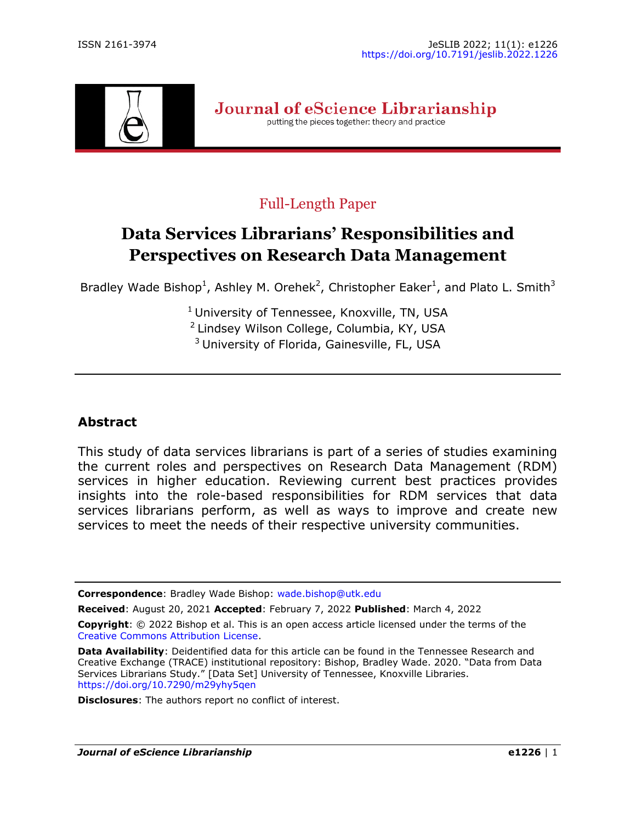

Journal of eScience Librarianship putting the pieces together: theory and practice

# Full-Length Paper

# **Data Services Librarians' Responsibilities and Perspectives on Research Data Management**

Bradley Wade Bishop<sup>1</sup>, Ashley M. Orehek<sup>2</sup>, Christopher Eaker<sup>1</sup>, and Plato L. Smith<sup>3</sup>

 $<sup>1</sup>$  University of Tennessee, Knoxville, TN, USA</sup> <sup>2</sup> Lindsey Wilson College, Columbia, KY, USA <sup>3</sup> University of Florida, Gainesville, FL, USA

# **Abstract**

This study of data services librarians is part of a series of studies examining the current roles and perspectives on Research Data Management (RDM) services in higher education. Reviewing current best practices provides insights into the role-based responsibilities for RDM services that data services librarians perform, as well as ways to improve and create new services to meet the needs of their respective university communities.

**Correspondence**: Bradley Wade Bishop: [wade.bishop@utk.edu](mailto:wade.bishop@utk.edu)

**Received**: August 20, 2021 **Accepted**: February 7, 2022 **Published**: March 4, 2022

**Data Availability**: Deidentified data for this article can be found in the Tennessee Research and Creative Exchange (TRACE) institutional repository: Bishop, Bradley Wade. 2020. "Data from Data Services Librarians Study." [Data Set] University of Tennessee, Knoxville Libraries. <https://doi.org/10.7290/m29yhy5qen>

**Disclosures**: The authors report no conflict of interest.

**Copyright**: © 2022 Bishop et al. This is an open access article licensed under the terms of the [Creative Commons Attribution License.](https://creativecommons.org/licenses/by/4.0/)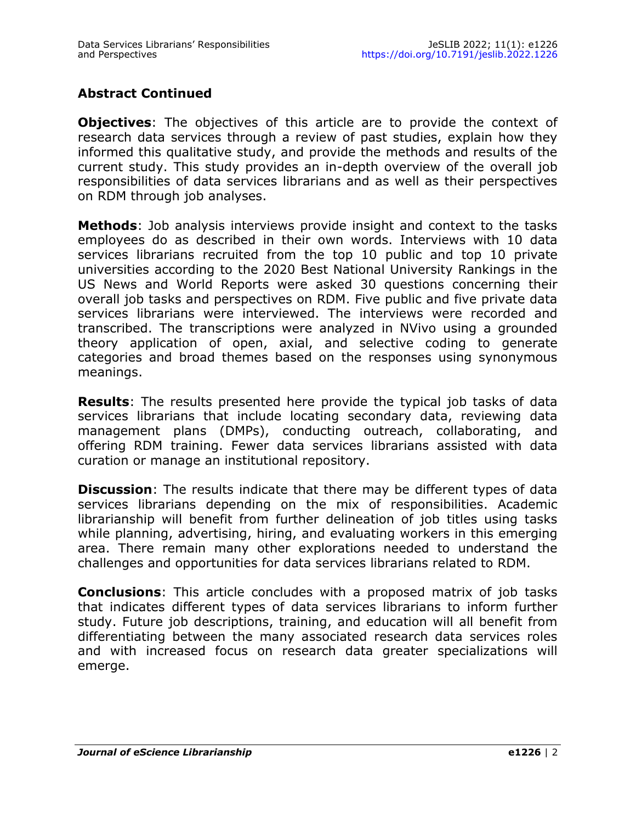# **Abstract Continued**

**Objectives:** The objectives of this article are to provide the context of research data services through a review of past studies, explain how they informed this qualitative study, and provide the methods and results of the current study. This study provides an in-depth overview of the overall job responsibilities of data services librarians and as well as their perspectives on RDM through job analyses.

**Methods**: Job analysis interviews provide insight and context to the tasks employees do as described in their own words. Interviews with 10 data services librarians recruited from the top 10 public and top 10 private universities according to the 2020 Best National University Rankings in the US News and World Reports were asked 30 questions concerning their overall iob tasks and perspectives on RDM. Five public and five private data services librarians were interviewed. The interviews were recorded and transcribed. The transcriptions were analyzed in NVivo using a grounded theory application of open, axial, and selective coding to generate categories and broad themes based on the responses using synonymous meanings.

**Results**: The results presented here provide the typical job tasks of data services librarians that include locating secondary data, reviewing data management plans (DMPs), conducting outreach, collaborating, and offering RDM training. Fewer data services librarians assisted with data curation or manage an institutional repository.

**Discussion**: The results indicate that there may be different types of data services librarians depending on the mix of responsibilities. Academic librarianship will benefit from further delineation of job titles using tasks while planning, advertising, hiring, and evaluating workers in this emerging area. There remain many other explorations needed to understand the challenges and opportunities for data services librarians related to RDM.

**Conclusions**: This article concludes with a proposed matrix of job tasks that indicates different types of data services librarians to inform further study. Future job descriptions, training, and education will all benefit from differentiating between the many associated research data services roles and with increased focus on research data greater specializations will emerge.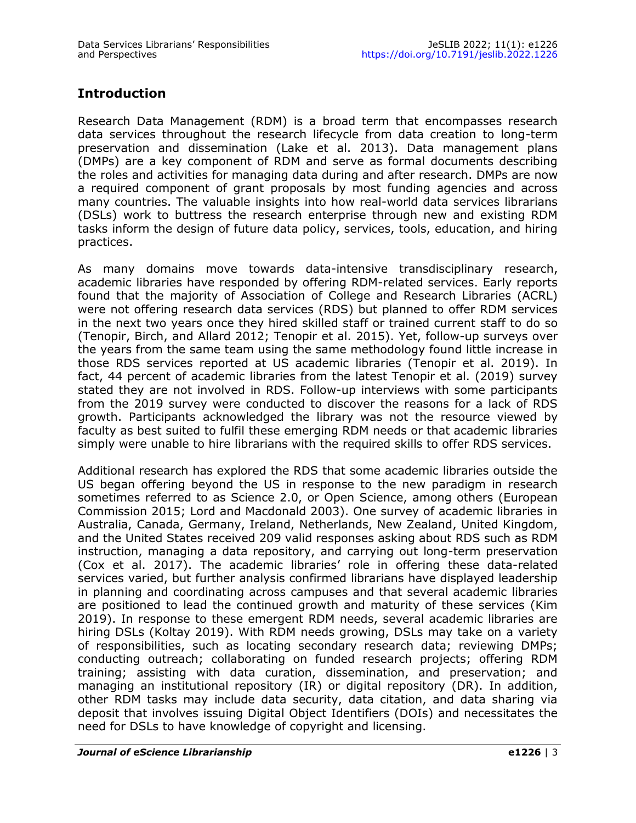# **Introduction**

Research Data Management (RDM) is a broad term that encompasses research data services throughout the research lifecycle from data creation to long-term preservation and dissemination (Lake et al. 2013). Data management plans (DMPs) are a key component of RDM and serve as formal documents describing the roles and activities for managing data during and after research. DMPs are now a required component of grant proposals by most funding agencies and across many countries. The valuable insights into how real-world data services librarians (DSLs) work to buttress the research enterprise through new and existing RDM tasks inform the design of future data policy, services, tools, education, and hiring practices.

As many domains move towards data-intensive transdisciplinary research, academic libraries have responded by offering RDM-related services. Early reports found that the majority of Association of College and Research Libraries (ACRL) were not offering research data services (RDS) but planned to offer RDM services in the next two years once they hired skilled staff or trained current staff to do so (Tenopir, Birch, and Allard 2012; Tenopir et al. 2015). Yet, follow-up surveys over the years from the same team using the same methodology found little increase in those RDS services reported at US academic libraries (Tenopir et al. 2019). In fact, 44 percent of academic libraries from the latest Tenopir et al. (2019) survey stated they are not involved in RDS. Follow-up interviews with some participants from the 2019 survey were conducted to discover the reasons for a lack of RDS growth. Participants acknowledged the library was not the resource viewed by faculty as best suited to fulfil these emerging RDM needs or that academic libraries simply were unable to hire librarians with the required skills to offer RDS services.

Additional research has explored the RDS that some academic libraries outside the US began offering beyond the US in response to the new paradigm in research sometimes referred to as Science 2.0, or Open Science, among others (European Commission 2015; Lord and Macdonald 2003). One survey of academic libraries in Australia, Canada, Germany, Ireland, Netherlands, New Zealand, United Kingdom, and the United States received 209 valid responses asking about RDS such as RDM instruction, managing a data repository, and carrying out long-term preservation (Cox et al. 2017). The academic libraries' role in offering these data-related services varied, but further analysis confirmed librarians have displayed leadership in planning and coordinating across campuses and that several academic libraries are positioned to lead the continued growth and maturity of these services (Kim 2019). In response to these emergent RDM needs, several academic libraries are hiring DSLs (Koltay 2019). With RDM needs growing, DSLs may take on a variety of responsibilities, such as locating secondary research data; reviewing DMPs; conducting outreach; collaborating on funded research projects; offering RDM training; assisting with data curation, dissemination, and preservation; and managing an institutional repository (IR) or digital repository (DR). In addition, other RDM tasks may include data security, data citation, and data sharing via deposit that involves issuing Digital Object Identifiers (DOIs) and necessitates the need for DSLs to have knowledge of copyright and licensing.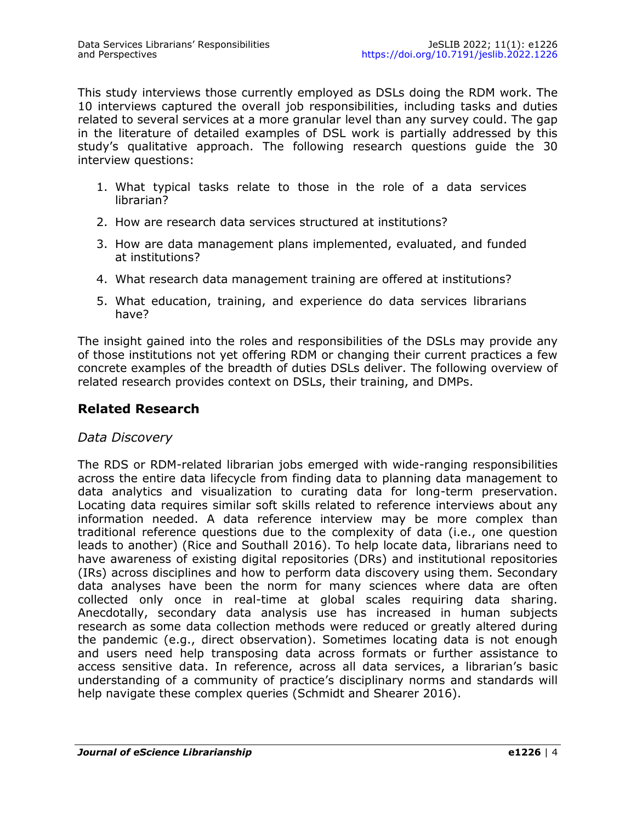This study interviews those currently employed as DSLs doing the RDM work. The 10 interviews captured the overall job responsibilities, including tasks and duties related to several services at a more granular level than any survey could. The gap in the literature of detailed examples of DSL work is partially addressed by this study's qualitative approach. The following research questions guide the 30 interview questions:

- 1. What typical tasks relate to those in the role of a data services librarian?
- 2. How are research data services structured at institutions?
- 3. How are data management plans implemented, evaluated, and funded at institutions?
- 4. What research data management training are offered at institutions?
- 5. What education, training, and experience do data services librarians have?

The insight gained into the roles and responsibilities of the DSLs may provide any of those institutions not yet offering RDM or changing their current practices a few concrete examples of the breadth of duties DSLs deliver. The following overview of related research provides context on DSLs, their training, and DMPs.

# **Related Research**

#### *Data Discovery*

The RDS or RDM-related librarian jobs emerged with wide-ranging responsibilities across the entire data lifecycle from finding data to planning data management to data analytics and visualization to curating data for long-term preservation. Locating data requires similar soft skills related to reference interviews about any information needed. A data reference interview may be more complex than traditional reference questions due to the complexity of data (i.e., one question leads to another) (Rice and Southall 2016). To help locate data, librarians need to have awareness of existing digital repositories (DRs) and institutional repositories (IRs) across disciplines and how to perform data discovery using them. Secondary data analyses have been the norm for many sciences where data are often collected only once in real-time at global scales requiring data sharing. Anecdotally, secondary data analysis use has increased in human subjects research as some data collection methods were reduced or greatly altered during the pandemic (e.g., direct observation). Sometimes locating data is not enough and users need help transposing data across formats or further assistance to access sensitive data. In reference, across all data services, a librarian's basic understanding of a community of practice's disciplinary norms and standards will help navigate these complex queries (Schmidt and Shearer 2016).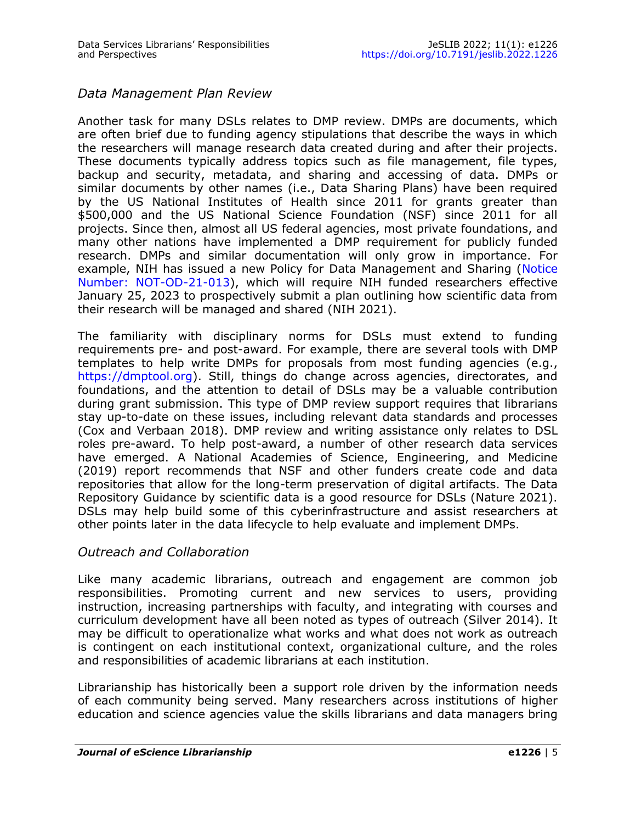#### *Data Management Plan Review*

Another task for many DSLs relates to DMP review. DMPs are documents, which are often brief due to funding agency stipulations that describe the ways in which the researchers will manage research data created during and after their projects. These documents typically address topics such as file management, file types, backup and security, metadata, and sharing and accessing of data. DMPs or similar documents by other names (i.e., Data Sharing Plans) have been required by the US National Institutes of Health since 2011 for grants greater than \$500,000 and the US National Science Foundation (NSF) since 2011 for all projects. Since then, almost all US federal agencies, most private foundations, and many other nations have implemented a DMP requirement for publicly funded research. DMPs and similar documentation will only grow in importance. For example, NIH has issued a new Policy for Data Management and Sharing (Notice [Number: NOT](https://grants.nih.gov/grants/guide/notice-files/NOT-OD-21-013.html)-OD-21-013), which will require NIH funded researchers effective January 25, 2023 to prospectively submit a plan outlining how scientific data from their research will be managed and shared (NIH 2021).

The familiarity with disciplinary norms for DSLs must extend to funding requirements pre- and post-award. For example, there are several tools with DMP templates to help write DMPs for proposals from most funding agencies (e.g., [https://dmptool.org\)](https://dmptool.org). Still, things do change across agencies, directorates, and foundations, and the attention to detail of DSLs may be a valuable contribution during grant submission. This type of DMP review support requires that librarians stay up-to-date on these issues, including relevant data standards and processes (Cox and Verbaan 2018). DMP review and writing assistance only relates to DSL roles pre-award. To help post-award, a number of other research data services have emerged. A National Academies of Science, Engineering, and Medicine (2019) report recommends that NSF and other funders create code and data repositories that allow for the long-term preservation of digital artifacts. The Data Repository Guidance by scientific data is a good resource for DSLs (Nature 2021). DSLs may help build some of this cyberinfrastructure and assist researchers at other points later in the data lifecycle to help evaluate and implement DMPs.

#### *Outreach and Collaboration*

Like many academic librarians, outreach and engagement are common job responsibilities. Promoting current and new services to users, providing instruction, increasing partnerships with faculty, and integrating with courses and curriculum development have all been noted as types of outreach (Silver 2014). It may be difficult to operationalize what works and what does not work as outreach is contingent on each institutional context, organizational culture, and the roles and responsibilities of academic librarians at each institution.

Librarianship has historically been a support role driven by the information needs of each community being served. Many researchers across institutions of higher education and science agencies value the skills librarians and data managers bring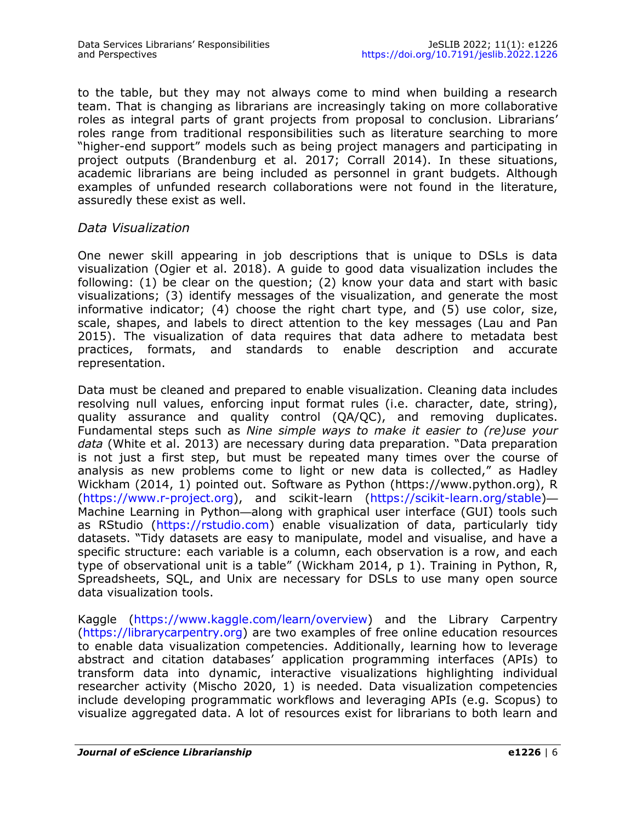to the table, but they may not always come to mind when building a research team. That is changing as librarians are increasingly taking on more collaborative roles as integral parts of grant projects from proposal to conclusion. Librarians' roles range from traditional responsibilities such as literature searching to more "higher-end support" models such as being project managers and participating in project outputs (Brandenburg et al. 2017; Corrall 2014). In these situations, academic librarians are being included as personnel in grant budgets. Although examples of unfunded research collaborations were not found in the literature, assuredly these exist as well.

#### *Data Visualization*

One newer skill appearing in job descriptions that is unique to DSLs is data visualization (Ogier et al. 2018). A guide to good data visualization includes the following: (1) be clear on the question; (2) know your data and start with basic visualizations; (3) identify messages of the visualization, and generate the most informative indicator; (4) choose the right chart type, and (5) use color, size, scale, shapes, and labels to direct attention to the key messages (Lau and Pan 2015). The visualization of data requires that data adhere to metadata best practices, formats, and standards to enable description and accurate representation.

Data must be cleaned and prepared to enable visualization. Cleaning data includes resolving null values, enforcing input format rules (i.e. character, date, string), quality assurance and quality control (QA/QC), and removing duplicates. Fundamental steps such as *Nine simple ways to make it easier to (re)use your data* (White et al. 2013) are necessary during data preparation. "Data preparation is not just a first step, but must be repeated many times over the course of analysis as new problems come to light or new data is collected," as Hadley Wickham (2014, 1) pointed out. Software as Python (https://www.python.org), R ([https://www.r](https://www.r-project.org)-project.org), and scikit-learn (https://scikit-[learn.org/stable\)](https://scikit-learn.org/stable)— Machine Learning in Python—along with graphical user interface (GUI) tools such as RStudio ([https://rstudio.com\)](https://rstudio.com) enable visualization of data, particularly tidy datasets. "Tidy datasets are easy to manipulate, model and visualise, and have a specific structure: each variable is a column, each observation is a row, and each type of observational unit is a table" (Wickham 2014, p 1). Training in Python, R, Spreadsheets, SQL, and Unix are necessary for DSLs to use many open source data visualization tools.

Kaggle ([https://www.kaggle.com/learn/overview\)](https://www.kaggle.com/learn/overview) and the Library Carpentry ([https://librarycarpentry.org\)](https://librarycarpentry.org) are two examples of free online education resources to enable data visualization competencies. Additionally, learning how to leverage abstract and citation databases' application programming interfaces (APIs) to transform data into dynamic, interactive visualizations highlighting individual researcher activity (Mischo 2020, 1) is needed. Data visualization competencies include developing programmatic workflows and leveraging APIs (e.g. Scopus) to visualize aggregated data. A lot of resources exist for librarians to both learn and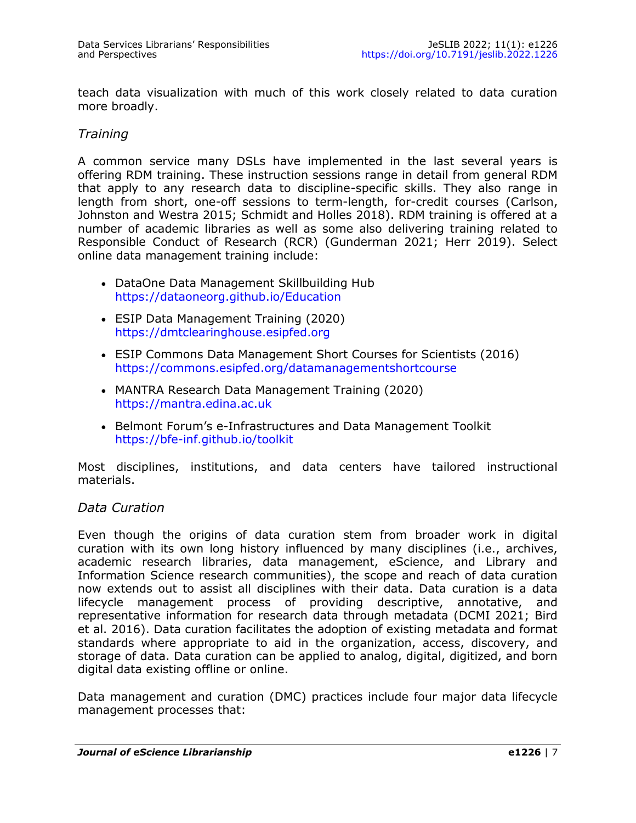teach data visualization with much of this work closely related to data curation more broadly.

#### *Training*

A common service many DSLs have implemented in the last several years is offering RDM training. These instruction sessions range in detail from general RDM that apply to any research data to discipline-specific skills. They also range in length from short, one-off sessions to term-length, for-credit courses (Carlson, Johnston and Westra 2015; Schmidt and Holles 2018). RDM training is offered at a number of academic libraries as well as some also delivering training related to Responsible Conduct of Research (RCR) (Gunderman 2021; Herr 2019). Select online data management training include:

- DataOne Data Management Skillbuilding Hub <https://dataoneorg.github.io/Education>
- ESIP Data Management Training (2020) <https://dmtclearinghouse.esipfed.org>
- ESIP Commons Data Management Short Courses for Scientists (2016) <https://commons.esipfed.org/datamanagementshortcourse>
- MANTRA Research Data Management Training (2020) <https://mantra.edina.ac.uk>
- Belmont Forum's e-Infrastructures and Data Management Toolkit https://bfe-[inf.github.io/toolkit](https://bfe-inf.github.io/toolkit)

Most disciplines, institutions, and data centers have tailored instructional materials.

#### *Data Curation*

Even though the origins of data curation stem from broader work in digital curation with its own long history influenced by many disciplines (i.e., archives, academic research libraries, data management, eScience, and Library and Information Science research communities), the scope and reach of data curation now extends out to assist all disciplines with their data. Data curation is a data lifecycle management process of providing descriptive, annotative, and representative information for research data through metadata (DCMI 2021; Bird et al. 2016). Data curation facilitates the adoption of existing metadata and format standards where appropriate to aid in the organization, access, discovery, and storage of data. Data curation can be applied to analog, digital, digitized, and born digital data existing offline or online.

Data management and curation (DMC) practices include four major data lifecycle management processes that: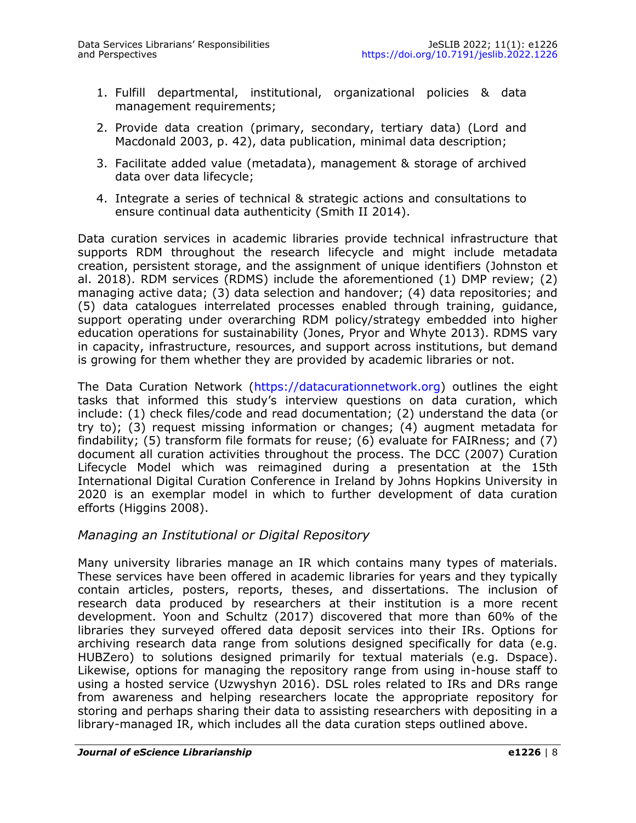- 1. Fulfill departmental, institutional, organizational policies & data management requirements;
- 2. Provide data creation (primary, secondary, tertiary data) (Lord and Macdonald 2003, p. 42), data publication, minimal data description;
- 3. Facilitate added value (metadata), management & storage of archived data over data lifecycle;
- 4. Integrate a series of technical & strategic actions and consultations to ensure continual data authenticity (Smith II 2014).

Data curation services in academic libraries provide technical infrastructure that supports RDM throughout the research lifecycle and might include metadata creation, persistent storage, and the assignment of unique identifiers (Johnston et al. 2018). RDM services (RDMS) include the aforementioned (1) DMP review; (2) managing active data; (3) data selection and handover; (4) data repositories; and (5) data catalogues interrelated processes enabled through training, guidance, support operating under overarching RDM policy/strategy embedded into higher education operations for sustainability (Jones, Pryor and Whyte 2013). RDMS vary in capacity, infrastructure, resources, and support across institutions, but demand is growing for them whether they are provided by academic libraries or not.

The Data Curation Network ([https://datacurationnetwork.org\)](https://datacurationnetwork.org) outlines the eight tasks that informed this study's interview questions on data curation, which include: (1) check files/code and read documentation; (2) understand the data (or try to); (3) request missing information or changes; (4) augment metadata for findability; (5) transform file formats for reuse; (6) evaluate for FAIRness; and (7) document all curation activities throughout the process. The DCC (2007) Curation Lifecycle Model which was reimagined during a presentation at the 15th International Digital Curation Conference in Ireland by Johns Hopkins University in 2020 is an exemplar model in which to further development of data curation efforts (Higgins 2008).

# *Managing an Institutional or Digital Repository*

Many university libraries manage an IR which contains many types of materials. These services have been offered in academic libraries for years and they typically contain articles, posters, reports, theses, and dissertations. The inclusion of research data produced by researchers at their institution is a more recent development. Yoon and Schultz (2017) discovered that more than 60% of the libraries they surveyed offered data deposit services into their IRs. Options for archiving research data range from solutions designed specifically for data (e.g. HUBZero) to solutions designed primarily for textual materials (e.g. Dspace). Likewise, options for managing the repository range from using in-house staff to using a hosted service (Uzwyshyn 2016). DSL roles related to IRs and DRs range from awareness and helping researchers locate the appropriate repository for storing and perhaps sharing their data to assisting researchers with depositing in a library-managed IR, which includes all the data curation steps outlined above.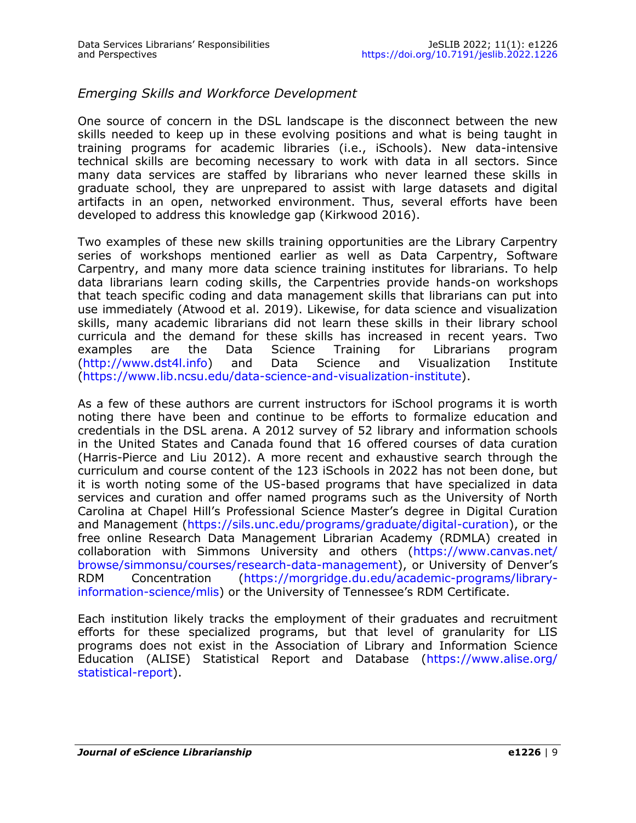### *Emerging Skills and Workforce Development*

One source of concern in the DSL landscape is the disconnect between the new skills needed to keep up in these evolving positions and what is being taught in training programs for academic libraries (i.e., iSchools). New data-intensive technical skills are becoming necessary to work with data in all sectors. Since many data services are staffed by librarians who never learned these skills in graduate school, they are unprepared to assist with large datasets and digital artifacts in an open, networked environment. Thus, several efforts have been developed to address this knowledge gap (Kirkwood 2016).

Two examples of these new skills training opportunities are the Library Carpentry series of workshops mentioned earlier as well as Data Carpentry, Software Carpentry, and many more data science training institutes for librarians. To help data librarians learn coding skills, the Carpentries provide hands-on workshops that teach specific coding and data management skills that librarians can put into use immediately (Atwood et al. 2019). Likewise, for data science and visualization skills, many academic librarians did not learn these skills in their library school curricula and the demand for these skills has increased in recent years. Two examples are the Data Science Training for Librarians program ([http://www.dst4l.info\)](http://www.dst4l.info) and Data Science and Visualization Institute ([https://www.lib.ncsu.edu/data](https://www.lib.ncsu.edu/data-science-and-visualization-institute)-science-and-visualization-institute).

As a few of these authors are current instructors for iSchool programs it is worth noting there have been and continue to be efforts to formalize education and credentials in the DSL arena. A 2012 survey of 52 library and information schools in the United States and Canada found that 16 offered courses of data curation (Harris-Pierce and Liu 2012). A more recent and exhaustive search through the curriculum and course content of the 123 iSchools in 2022 has not been done, but it is worth noting some of the US-based programs that have specialized in data services and curation and offer named programs such as the University of North Carolina at Chapel Hill's Professional Science Master's degree in Digital Curation and Management [\(https://sils.unc.edu/programs/graduate/digital](https://sils.unc.edu/programs/graduate/digital-curation)-curation), or the free online Research Data Management Librarian Academy (RDMLA) created in collaboration with Simmons University and others ([https://www.canvas.net/](https://www.canvas.net/browse/simmonsu/courses/research-data-management) [browse/simmonsu/courses/research](https://www.canvas.net/browse/simmonsu/courses/research-data-management)-data-management), or University of Denver's RDM Concentration ([https://morgridge.du.edu/academic](https://morgridge.du.edu/academic-programs/library-information-science/mlis)-programs/libraryinformation-[science/mlis\)](https://morgridge.du.edu/academic-programs/library-information-science/mlis) or the University of Tennessee's RDM Certificate.

Each institution likely tracks the employment of their graduates and recruitment efforts for these specialized programs, but that level of granularity for LIS programs does not exist in the Association of Library and Information Science Education (ALISE) Statistical Report and Database ([https://www.alise.org/](https://www.alise.org/statistical-report) [statistical](https://www.alise.org/statistical-report)-report).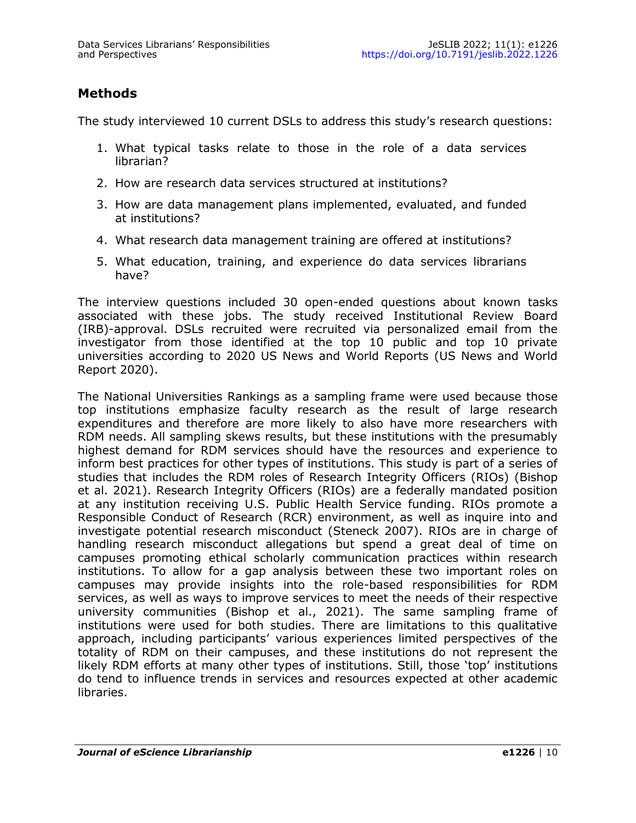# **Methods**

The study interviewed 10 current DSLs to address this study's research questions:

- 1. What typical tasks relate to those in the role of a data services librarian?
- 2. How are research data services structured at institutions?
- 3. How are data management plans implemented, evaluated, and funded at institutions?
- 4. What research data management training are offered at institutions?
- 5. What education, training, and experience do data services librarians have?

The interview questions included 30 open-ended questions about known tasks associated with these jobs. The study received Institutional Review Board (IRB)-approval. DSLs recruited were recruited via personalized email from the investigator from those identified at the top 10 public and top 10 private universities according to 2020 US News and World Reports (US News and World Report 2020).

The National Universities Rankings as a sampling frame were used because those top institutions emphasize faculty research as the result of large research expenditures and therefore are more likely to also have more researchers with RDM needs. All sampling skews results, but these institutions with the presumably highest demand for RDM services should have the resources and experience to inform best practices for other types of institutions. This study is part of a series of studies that includes the RDM roles of Research Integrity Officers (RIOs) (Bishop et al. 2021). Research Integrity Officers (RIOs) are a federally mandated position at any institution receiving U.S. Public Health Service funding. RIOs promote a Responsible Conduct of Research (RCR) environment, as well as inquire into and investigate potential research misconduct (Steneck 2007). RIOs are in charge of handling research misconduct allegations but spend a great deal of time on campuses promoting ethical scholarly communication practices within research institutions. To allow for a gap analysis between these two important roles on campuses may provide insights into the role-based responsibilities for RDM services, as well as ways to improve services to meet the needs of their respective university communities (Bishop et al., 2021). The same sampling frame of institutions were used for both studies. There are limitations to this qualitative approach, including participants' various experiences limited perspectives of the totality of RDM on their campuses, and these institutions do not represent the likely RDM efforts at many other types of institutions. Still, those 'top' institutions do tend to influence trends in services and resources expected at other academic libraries.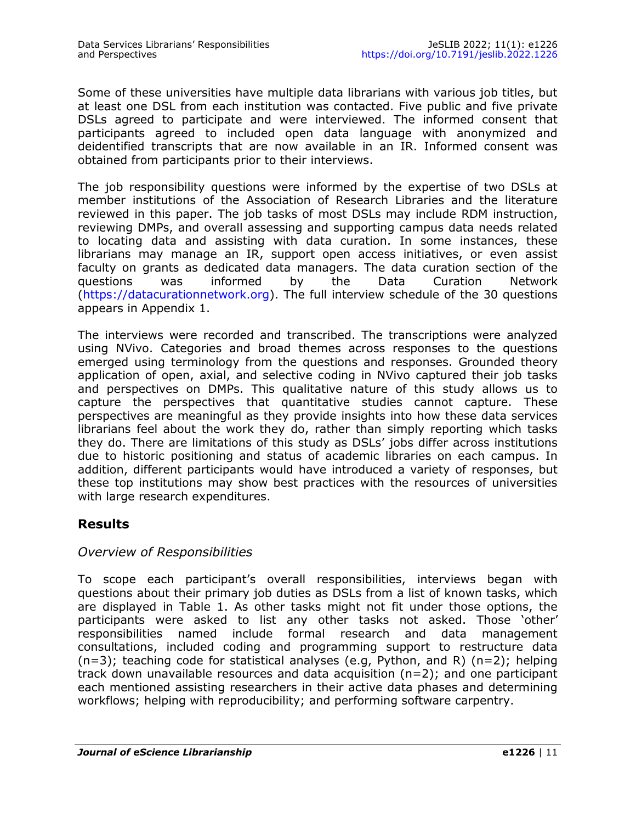Some of these universities have multiple data librarians with various job titles, but at least one DSL from each institution was contacted. Five public and five private DSLs agreed to participate and were interviewed. The informed consent that participants agreed to included open data language with anonymized and deidentified transcripts that are now available in an IR. Informed consent was obtained from participants prior to their interviews.

The job responsibility questions were informed by the expertise of two DSLs at member institutions of the Association of Research Libraries and the literature reviewed in this paper. The job tasks of most DSLs may include RDM instruction, reviewing DMPs, and overall assessing and supporting campus data needs related to locating data and assisting with data curation. In some instances, these librarians may manage an IR, support open access initiatives, or even assist faculty on grants as dedicated data managers. The data curation section of the questions was informed by the Data Curation Network ([https://datacurationnetwork.org\).](https://datacurationnetwork.org) The full interview schedule of the 30 questions appears in Appendix 1.

The interviews were recorded and transcribed. The transcriptions were analyzed using NVivo. Categories and broad themes across responses to the questions emerged using terminology from the questions and responses. Grounded theory application of open, axial, and selective coding in NVivo captured their job tasks and perspectives on DMPs. This qualitative nature of this study allows us to capture the perspectives that quantitative studies cannot capture. These perspectives are meaningful as they provide insights into how these data services librarians feel about the work they do, rather than simply reporting which tasks they do. There are limitations of this study as DSLs' jobs differ across institutions due to historic positioning and status of academic libraries on each campus. In addition, different participants would have introduced a variety of responses, but these top institutions may show best practices with the resources of universities with large research expenditures.

# **Results**

#### *Overview of Responsibilities*

To scope each participant's overall responsibilities, interviews began with questions about their primary job duties as DSLs from a list of known tasks, which are displayed in Table 1. As other tasks might not fit under those options, the participants were asked to list any other tasks not asked. Those 'other' responsibilities named include formal research and data management consultations, included coding and programming support to restructure data (n=3); teaching code for statistical analyses (e.g, Python, and R) (n=2); helping track down unavailable resources and data acquisition (n=2); and one participant each mentioned assisting researchers in their active data phases and determining workflows; helping with reproducibility; and performing software carpentry.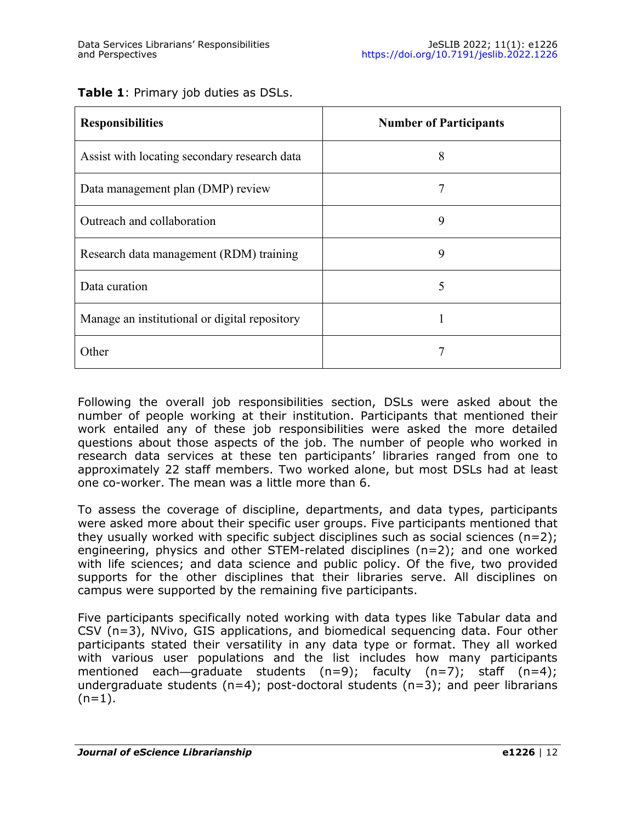| Table 1: Primary job duties as DSLs. |  |
|--------------------------------------|--|
|--------------------------------------|--|

| <b>Responsibilities</b>                       | <b>Number of Participants</b> |  |  |  |
|-----------------------------------------------|-------------------------------|--|--|--|
| Assist with locating secondary research data  | 8                             |  |  |  |
| Data management plan (DMP) review             | 7                             |  |  |  |
| Outreach and collaboration                    | 9                             |  |  |  |
| Research data management (RDM) training       | 9                             |  |  |  |
| Data curation                                 | 5                             |  |  |  |
| Manage an institutional or digital repository |                               |  |  |  |
| Other                                         |                               |  |  |  |

Following the overall job responsibilities section, DSLs were asked about the number of people working at their institution. Participants that mentioned their work entailed any of these job responsibilities were asked the more detailed questions about those aspects of the job. The number of people who worked in research data services at these ten participants' libraries ranged from one to approximately 22 staff members. Two worked alone, but most DSLs had at least one co-worker. The mean was a little more than 6.

To assess the coverage of discipline, departments, and data types, participants were asked more about their specific user groups. Five participants mentioned that they usually worked with specific subject disciplines such as social sciences  $(n=2)$ ; engineering, physics and other STEM-related disciplines (n=2); and one worked with life sciences; and data science and public policy. Of the five, two provided supports for the other disciplines that their libraries serve. All disciplines on campus were supported by the remaining five participants.

Five participants specifically noted working with data types like Tabular data and CSV (n=3), NVivo, GIS applications, and biomedical sequencing data. Four other participants stated their versatility in any data type or format. They all worked with various user populations and the list includes how many participants mentioned each—graduate students  $(n=9)$ ; faculty  $(n=7)$ ; staff  $(n=4)$ ; undergraduate students ( $n=4$ ); post-doctoral students ( $n=3$ ); and peer librarians  $(n=1)$ .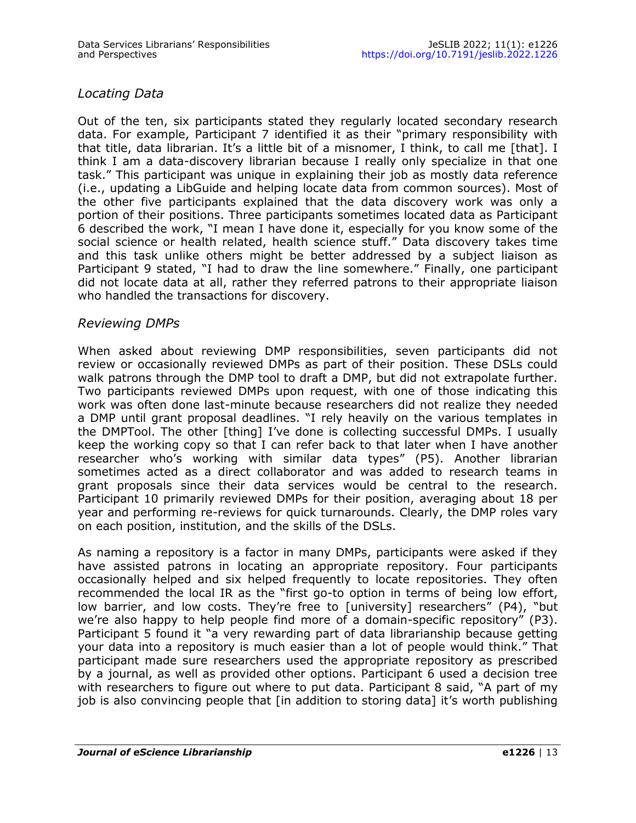# *Locating Data*

Out of the ten, six participants stated they regularly located secondary research data. For example, Participant 7 identified it as their "primary responsibility with that title, data librarian. It's a little bit of a misnomer, I think, to call me [that]. I think I am a data-discovery librarian because I really only specialize in that one task." This participant was unique in explaining their job as mostly data reference (i.e., updating a LibGuide and helping locate data from common sources). Most of the other five participants explained that the data discovery work was only a portion of their positions. Three participants sometimes located data as Participant 6 described the work, "I mean I have done it, especially for you know some of the social science or health related, health science stuff." Data discovery takes time and this task unlike others might be better addressed by a subject liaison as Participant 9 stated, "I had to draw the line somewhere." Finally, one participant did not locate data at all, rather they referred patrons to their appropriate liaison who handled the transactions for discovery.

### *Reviewing DMPs*

When asked about reviewing DMP responsibilities, seven participants did not review or occasionally reviewed DMPs as part of their position. These DSLs could walk patrons through the DMP tool to draft a DMP, but did not extrapolate further. Two participants reviewed DMPs upon request, with one of those indicating this work was often done last-minute because researchers did not realize they needed a DMP until grant proposal deadlines. "I rely heavily on the various templates in the DMPTool. The other [thing] I've done is collecting successful DMPs. I usually keep the working copy so that I can refer back to that later when I have another researcher who's working with similar data types" (P5). Another librarian sometimes acted as a direct collaborator and was added to research teams in grant proposals since their data services would be central to the research. Participant 10 primarily reviewed DMPs for their position, averaging about 18 per year and performing re-reviews for quick turnarounds. Clearly, the DMP roles vary on each position, institution, and the skills of the DSLs.

As naming a repository is a factor in many DMPs, participants were asked if they have assisted patrons in locating an appropriate repository. Four participants occasionally helped and six helped frequently to locate repositories. They often recommended the local IR as the "first go-to option in terms of being low effort, low barrier, and low costs. They're free to [university] researchers" (P4), "but we're also happy to help people find more of a domain-specific repository" (P3). Participant 5 found it "a very rewarding part of data librarianship because getting your data into a repository is much easier than a lot of people would think." That participant made sure researchers used the appropriate repository as prescribed by a journal, as well as provided other options. Participant 6 used a decision tree with researchers to figure out where to put data. Participant 8 said, "A part of my job is also convincing people that [in addition to storing data] it's worth publishing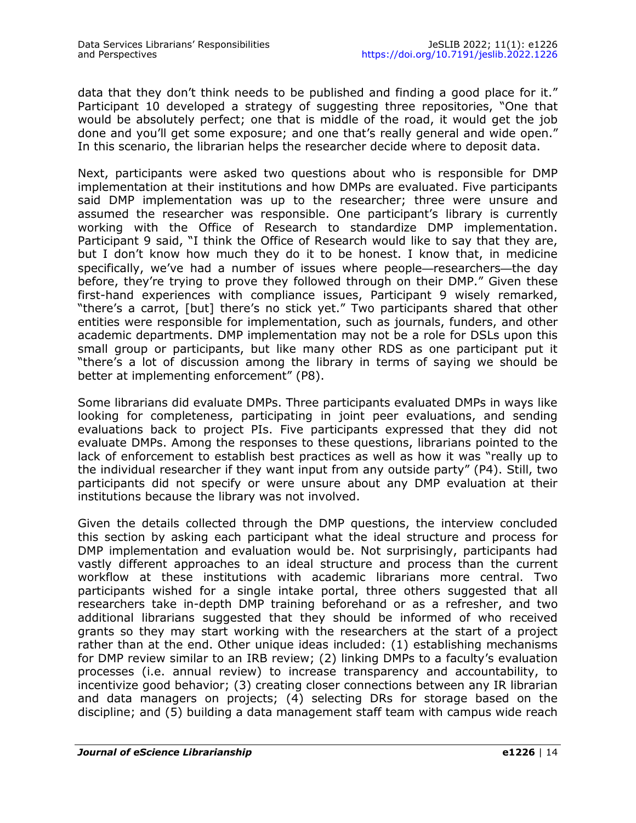data that they don't think needs to be published and finding a good place for it." Participant 10 developed a strategy of suggesting three repositories, "One that would be absolutely perfect; one that is middle of the road, it would get the job done and you'll get some exposure; and one that's really general and wide open." In this scenario, the librarian helps the researcher decide where to deposit data.

Next, participants were asked two questions about who is responsible for DMP implementation at their institutions and how DMPs are evaluated. Five participants said DMP implementation was up to the researcher; three were unsure and assumed the researcher was responsible. One participant's library is currently working with the Office of Research to standardize DMP implementation. Participant 9 said, "I think the Office of Research would like to say that they are, but I don't know how much they do it to be honest. I know that, in medicine specifically, we've had a number of issues where people—researchers—the day before, they're trying to prove they followed through on their DMP." Given these first-hand experiences with compliance issues, Participant 9 wisely remarked, "there's a carrot, [but] there's no stick yet." Two participants shared that other entities were responsible for implementation, such as journals, funders, and other academic departments. DMP implementation may not be a role for DSLs upon this small group or participants, but like many other RDS as one participant put it "there's a lot of discussion among the library in terms of saying we should be better at implementing enforcement" (P8).

Some librarians did evaluate DMPs. Three participants evaluated DMPs in ways like looking for completeness, participating in joint peer evaluations, and sending evaluations back to project PIs. Five participants expressed that they did not evaluate DMPs. Among the responses to these questions, librarians pointed to the lack of enforcement to establish best practices as well as how it was "really up to the individual researcher if they want input from any outside party" (P4). Still, two participants did not specify or were unsure about any DMP evaluation at their institutions because the library was not involved.

Given the details collected through the DMP questions, the interview concluded this section by asking each participant what the ideal structure and process for DMP implementation and evaluation would be. Not surprisingly, participants had vastly different approaches to an ideal structure and process than the current workflow at these institutions with academic librarians more central. Two participants wished for a single intake portal, three others suggested that all researchers take in-depth DMP training beforehand or as a refresher, and two additional librarians suggested that they should be informed of who received grants so they may start working with the researchers at the start of a project rather than at the end. Other unique ideas included: (1) establishing mechanisms for DMP review similar to an IRB review; (2) linking DMPs to a faculty's evaluation processes (i.e. annual review) to increase transparency and accountability, to incentivize good behavior; (3) creating closer connections between any IR librarian and data managers on projects; (4) selecting DRs for storage based on the discipline; and (5) building a data management staff team with campus wide reach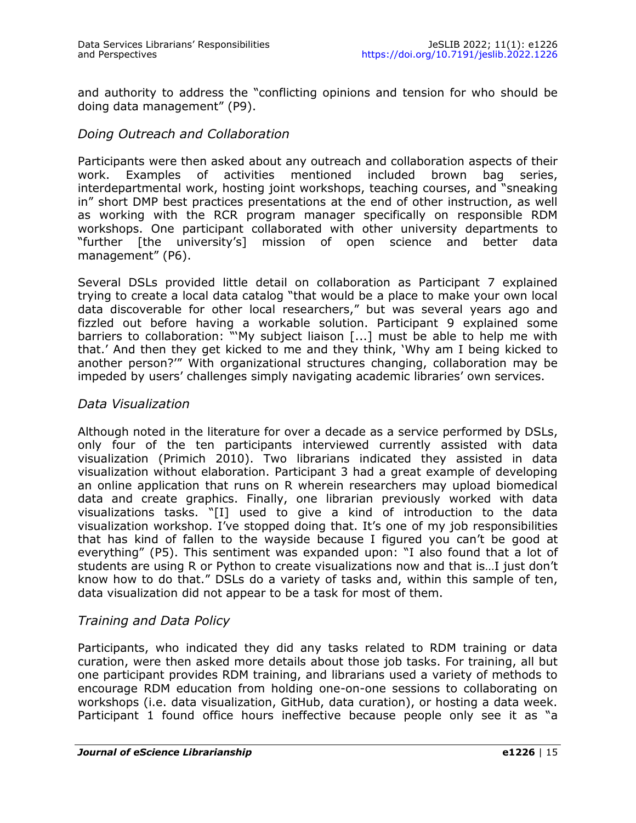and authority to address the "conflicting opinions and tension for who should be doing data management" (P9).

#### *Doing Outreach and Collaboration*

Participants were then asked about any outreach and collaboration aspects of their work. Examples of activities mentioned included brown bag series, interdepartmental work, hosting joint workshops, teaching courses, and "sneaking in" short DMP best practices presentations at the end of other instruction, as well as working with the RCR program manager specifically on responsible RDM workshops. One participant collaborated with other university departments to "further [the university's] mission of open science and better data management" (P6).

Several DSLs provided little detail on collaboration as Participant 7 explained trying to create a local data catalog "that would be a place to make your own local data discoverable for other local researchers," but was several years ago and fizzled out before having a workable solution. Participant 9 explained some barriers to collaboration: "'My subject liaison [...] must be able to help me with that.' And then they get kicked to me and they think, 'Why am I being kicked to another person?'" With organizational structures changing, collaboration may be impeded by users' challenges simply navigating academic libraries' own services.

#### *Data Visualization*

Although noted in the literature for over a decade as a service performed by DSLs, only four of the ten participants interviewed currently assisted with data visualization (Primich 2010). Two librarians indicated they assisted in data visualization without elaboration. Participant 3 had a great example of developing an online application that runs on R wherein researchers may upload biomedical data and create graphics. Finally, one librarian previously worked with data visualizations tasks. "[I] used to give a kind of introduction to the data visualization workshop. I've stopped doing that. It's one of my job responsibilities that has kind of fallen to the wayside because I figured you can't be good at everything" (P5). This sentiment was expanded upon: "I also found that a lot of students are using R or Python to create visualizations now and that is…I just don't know how to do that." DSLs do a variety of tasks and, within this sample of ten, data visualization did not appear to be a task for most of them.

#### *Training and Data Policy*

Participants, who indicated they did any tasks related to RDM training or data curation, were then asked more details about those job tasks. For training, all but one participant provides RDM training, and librarians used a variety of methods to encourage RDM education from holding one-on-one sessions to collaborating on workshops (i.e. data visualization, GitHub, data curation), or hosting a data week. Participant 1 found office hours ineffective because people only see it as "a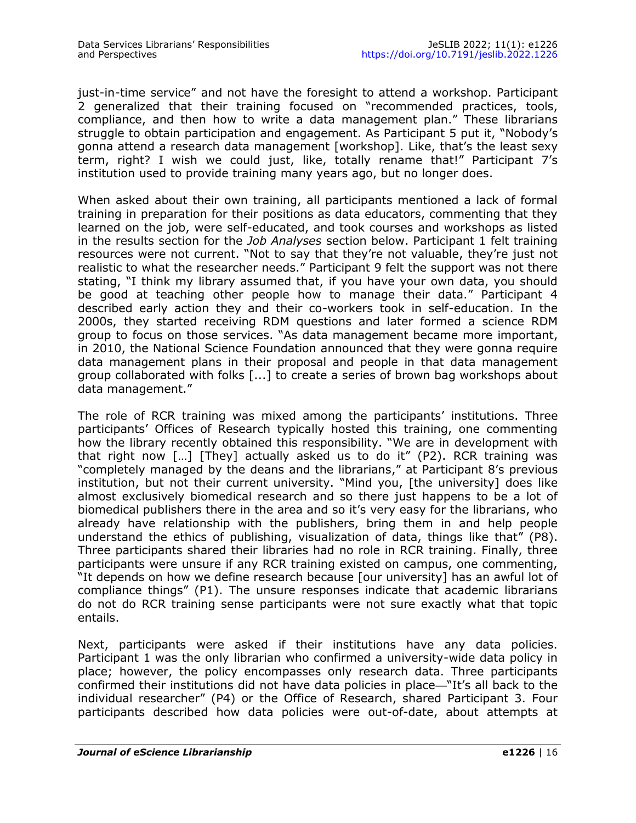just-in-time service" and not have the foresight to attend a workshop. Participant 2 generalized that their training focused on "recommended practices, tools, compliance, and then how to write a data management plan." These librarians struggle to obtain participation and engagement. As Participant 5 put it, "Nobody's gonna attend a research data management [workshop]. Like, that's the least sexy term, right? I wish we could just, like, totally rename that!" Participant 7's institution used to provide training many years ago, but no longer does.

When asked about their own training, all participants mentioned a lack of formal training in preparation for their positions as data educators, commenting that they learned on the job, were self-educated, and took courses and workshops as listed in the results section for the *Job Analyses* section below. Participant 1 felt training resources were not current. "Not to say that they're not valuable, they're just not realistic to what the researcher needs." Participant 9 felt the support was not there stating, "I think my library assumed that, if you have your own data, you should be good at teaching other people how to manage their data." Participant 4 described early action they and their co-workers took in self-education. In the 2000s, they started receiving RDM questions and later formed a science RDM group to focus on those services. "As data management became more important, in 2010, the National Science Foundation announced that they were gonna require data management plans in their proposal and people in that data management group collaborated with folks [...] to create a series of brown bag workshops about data management."

The role of RCR training was mixed among the participants' institutions. Three participants' Offices of Research typically hosted this training, one commenting how the library recently obtained this responsibility. "We are in development with that right now […] [They] actually asked us to do it" (P2). RCR training was "completely managed by the deans and the librarians," at Participant 8's previous institution, but not their current university. "Mind you, [the university] does like almost exclusively biomedical research and so there just happens to be a lot of biomedical publishers there in the area and so it's very easy for the librarians, who already have relationship with the publishers, bring them in and help people understand the ethics of publishing, visualization of data, things like that" (P8). Three participants shared their libraries had no role in RCR training. Finally, three participants were unsure if any RCR training existed on campus, one commenting, "It depends on how we define research because [our university] has an awful lot of compliance things" (P1). The unsure responses indicate that academic librarians do not do RCR training sense participants were not sure exactly what that topic entails.

Next, participants were asked if their institutions have any data policies. Participant 1 was the only librarian who confirmed a university-wide data policy in place; however, the policy encompasses only research data. Three participants confirmed their institutions did not have data policies in place—"It's all back to the individual researcher" (P4) or the Office of Research, shared Participant 3. Four participants described how data policies were out-of-date, about attempts at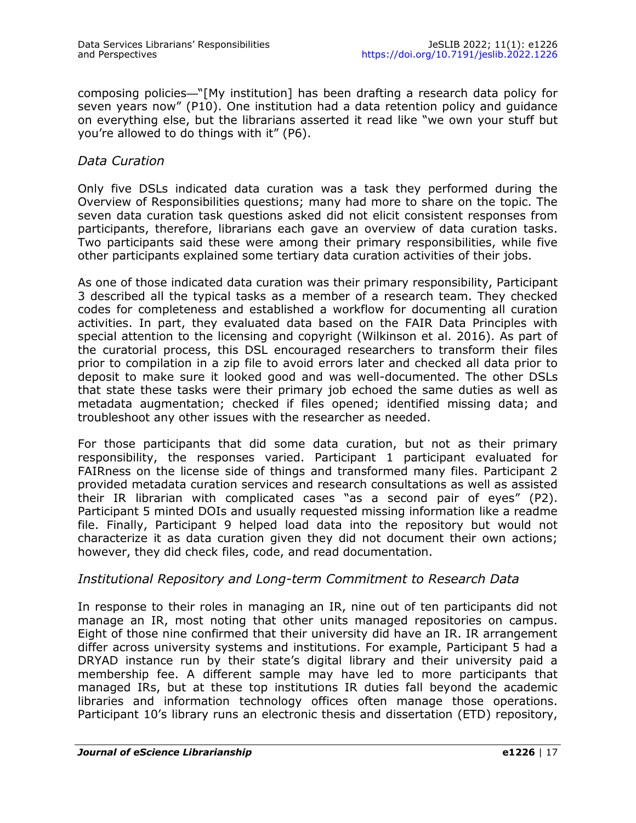composing policies—"[My institution] has been drafting a research data policy for seven years now" (P10). One institution had a data retention policy and guidance on everything else, but the librarians asserted it read like "we own your stuff but you're allowed to do things with it" (P6).

#### *Data Curation*

Only five DSLs indicated data curation was a task they performed during the Overview of Responsibilities questions; many had more to share on the topic. The seven data curation task questions asked did not elicit consistent responses from participants, therefore, librarians each gave an overview of data curation tasks. Two participants said these were among their primary responsibilities, while five other participants explained some tertiary data curation activities of their jobs.

As one of those indicated data curation was their primary responsibility, Participant 3 described all the typical tasks as a member of a research team. They checked codes for completeness and established a workflow for documenting all curation activities. In part, they evaluated data based on the FAIR Data Principles with special attention to the licensing and copyright (Wilkinson et al. 2016). As part of the curatorial process, this DSL encouraged researchers to transform their files prior to compilation in a zip file to avoid errors later and checked all data prior to deposit to make sure it looked good and was well-documented. The other DSLs that state these tasks were their primary job echoed the same duties as well as metadata augmentation; checked if files opened; identified missing data; and troubleshoot any other issues with the researcher as needed.

For those participants that did some data curation, but not as their primary responsibility, the responses varied. Participant 1 participant evaluated for FAIRness on the license side of things and transformed many files. Participant 2 provided metadata curation services and research consultations as well as assisted their IR librarian with complicated cases "as a second pair of eyes" (P2). Participant 5 minted DOIs and usually requested missing information like a readme file. Finally, Participant 9 helped load data into the repository but would not characterize it as data curation given they did not document their own actions; however, they did check files, code, and read documentation.

#### *Institutional Repository and Long-term Commitment to Research Data*

In response to their roles in managing an IR, nine out of ten participants did not manage an IR, most noting that other units managed repositories on campus. Eight of those nine confirmed that their university did have an IR. IR arrangement differ across university systems and institutions. For example, Participant 5 had a DRYAD instance run by their state's digital library and their university paid a membership fee. A different sample may have led to more participants that managed IRs, but at these top institutions IR duties fall beyond the academic libraries and information technology offices often manage those operations. Participant 10's library runs an electronic thesis and dissertation (ETD) repository,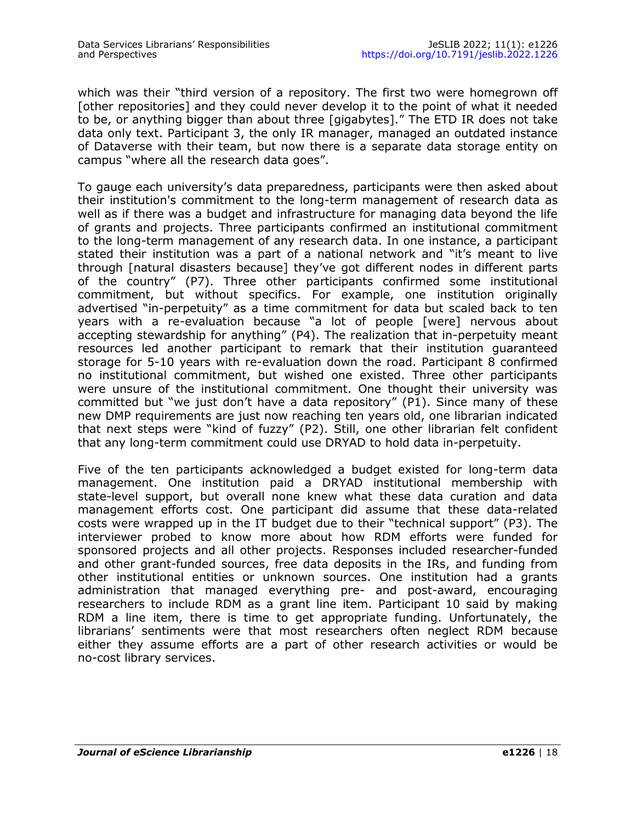which was their "third version of a repository. The first two were homegrown off [other repositories] and they could never develop it to the point of what it needed to be, or anything bigger than about three [gigabytes]." The ETD IR does not take data only text. Participant 3, the only IR manager, managed an outdated instance of Dataverse with their team, but now there is a separate data storage entity on campus "where all the research data goes".

To gauge each university's data preparedness, participants were then asked about their institution's commitment to the long-term management of research data as well as if there was a budget and infrastructure for managing data beyond the life of grants and projects. Three participants confirmed an institutional commitment to the long-term management of any research data. In one instance, a participant stated their institution was a part of a national network and "it's meant to live through [natural disasters because] they've got different nodes in different parts of the country" (P7). Three other participants confirmed some institutional commitment, but without specifics. For example, one institution originally advertised "in-perpetuity" as a time commitment for data but scaled back to ten years with a re-evaluation because "a lot of people [were] nervous about accepting stewardship for anything" (P4). The realization that in-perpetuity meant resources led another participant to remark that their institution guaranteed storage for 5-10 years with re-evaluation down the road. Participant 8 confirmed no institutional commitment, but wished one existed. Three other participants were unsure of the institutional commitment. One thought their university was committed but "we just don't have a data repository" (P1). Since many of these new DMP requirements are just now reaching ten years old, one librarian indicated that next steps were "kind of fuzzy" (P2). Still, one other librarian felt confident that any long-term commitment could use DRYAD to hold data in-perpetuity.

Five of the ten participants acknowledged a budget existed for long-term data management. One institution paid a DRYAD institutional membership with state-level support, but overall none knew what these data curation and data management efforts cost. One participant did assume that these data-related costs were wrapped up in the IT budget due to their "technical support" (P3). The interviewer probed to know more about how RDM efforts were funded for sponsored projects and all other projects. Responses included researcher-funded and other grant-funded sources, free data deposits in the IRs, and funding from other institutional entities or unknown sources. One institution had a grants administration that managed everything pre- and post-award, encouraging researchers to include RDM as a grant line item. Participant 10 said by making RDM a line item, there is time to get appropriate funding. Unfortunately, the librarians' sentiments were that most researchers often neglect RDM because either they assume efforts are a part of other research activities or would be no-cost library services.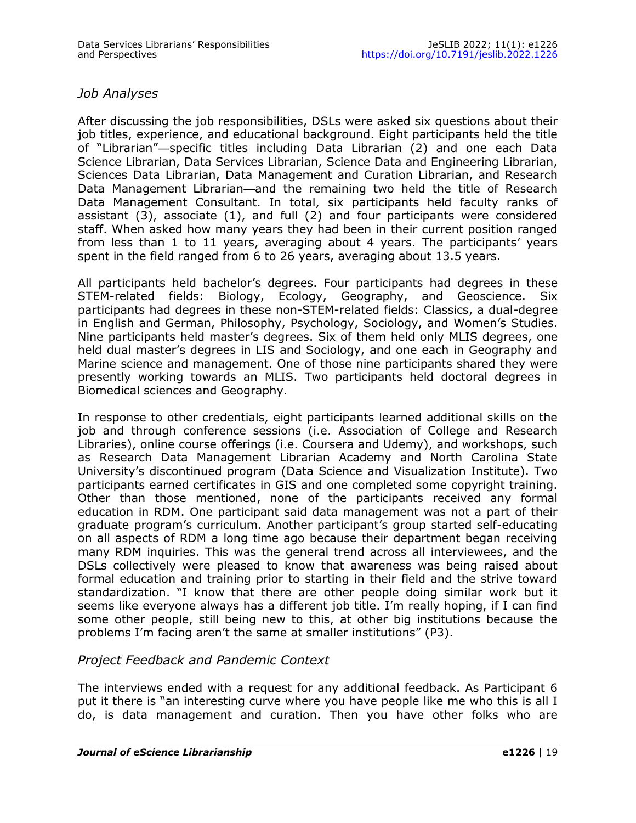### *Job Analyses*

After discussing the job responsibilities, DSLs were asked six questions about their job titles, experience, and educational background. Eight participants held the title of "Librarian"—specific titles including Data Librarian (2) and one each Data Science Librarian, Data Services Librarian, Science Data and Engineering Librarian, Sciences Data Librarian, Data Management and Curation Librarian, and Research Data Management Librarian—and the remaining two held the title of Research Data Management Consultant. In total, six participants held faculty ranks of assistant (3), associate (1), and full (2) and four participants were considered staff. When asked how many years they had been in their current position ranged from less than 1 to 11 years, averaging about 4 years. The participants' years spent in the field ranged from 6 to 26 years, averaging about 13.5 years.

All participants held bachelor's degrees. Four participants had degrees in these STEM-related fields: Biology, Ecology, Geography, and Geoscience. Six participants had degrees in these non-STEM-related fields: Classics, a dual-degree in English and German, Philosophy, Psychology, Sociology, and Women's Studies. Nine participants held master's degrees. Six of them held only MLIS degrees, one held dual master's degrees in LIS and Sociology, and one each in Geography and Marine science and management. One of those nine participants shared they were presently working towards an MLIS. Two participants held doctoral degrees in Biomedical sciences and Geography.

In response to other credentials, eight participants learned additional skills on the job and through conference sessions (i.e. Association of College and Research Libraries), online course offerings (i.e. Coursera and Udemy), and workshops, such as Research Data Management Librarian Academy and North Carolina State University's discontinued program (Data Science and Visualization Institute). Two participants earned certificates in GIS and one completed some copyright training. Other than those mentioned, none of the participants received any formal education in RDM. One participant said data management was not a part of their graduate program's curriculum. Another participant's group started self-educating on all aspects of RDM a long time ago because their department began receiving many RDM inquiries. This was the general trend across all interviewees, and the DSLs collectively were pleased to know that awareness was being raised about formal education and training prior to starting in their field and the strive toward standardization. "I know that there are other people doing similar work but it seems like everyone always has a different job title. I'm really hoping, if I can find some other people, still being new to this, at other big institutions because the problems I'm facing aren't the same at smaller institutions" (P3).

#### *Project Feedback and Pandemic Context*

The interviews ended with a request for any additional feedback. As Participant 6 put it there is "an interesting curve where you have people like me who this is all I do, is data management and curation. Then you have other folks who are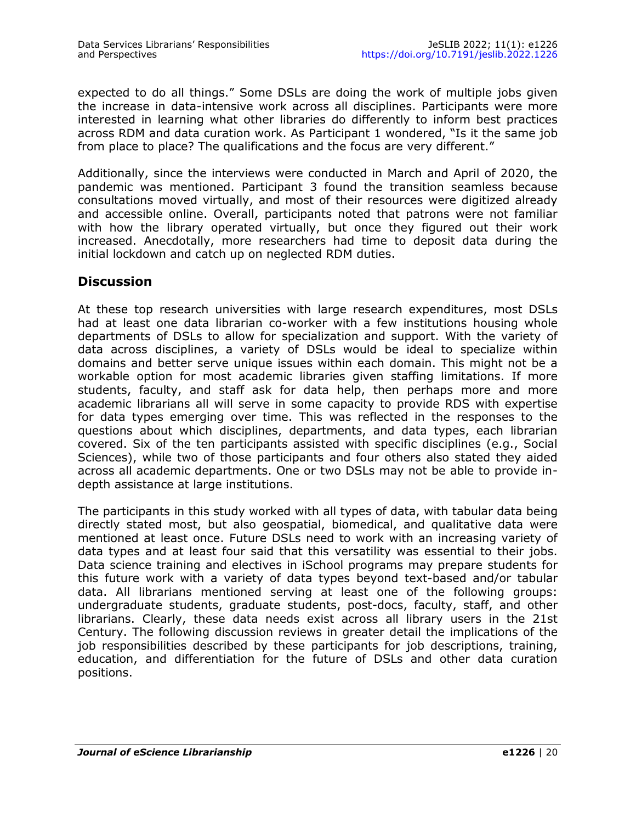expected to do all things." Some DSLs are doing the work of multiple jobs given the increase in data-intensive work across all disciplines. Participants were more interested in learning what other libraries do differently to inform best practices across RDM and data curation work. As Participant 1 wondered, "Is it the same job from place to place? The qualifications and the focus are very different."

Additionally, since the interviews were conducted in March and April of 2020, the pandemic was mentioned. Participant 3 found the transition seamless because consultations moved virtually, and most of their resources were digitized already and accessible online. Overall, participants noted that patrons were not familiar with how the library operated virtually, but once they figured out their work increased. Anecdotally, more researchers had time to deposit data during the initial lockdown and catch up on neglected RDM duties.

# **Discussion**

At these top research universities with large research expenditures, most DSLs had at least one data librarian co-worker with a few institutions housing whole departments of DSLs to allow for specialization and support. With the variety of data across disciplines, a variety of DSLs would be ideal to specialize within domains and better serve unique issues within each domain. This might not be a workable option for most academic libraries given staffing limitations. If more students, faculty, and staff ask for data help, then perhaps more and more academic librarians all will serve in some capacity to provide RDS with expertise for data types emerging over time. This was reflected in the responses to the questions about which disciplines, departments, and data types, each librarian covered. Six of the ten participants assisted with specific disciplines (e.g., Social Sciences), while two of those participants and four others also stated they aided across all academic departments. One or two DSLs may not be able to provide indepth assistance at large institutions.

The participants in this study worked with all types of data, with tabular data being directly stated most, but also geospatial, biomedical, and qualitative data were mentioned at least once. Future DSLs need to work with an increasing variety of data types and at least four said that this versatility was essential to their jobs. Data science training and electives in iSchool programs may prepare students for this future work with a variety of data types beyond text-based and/or tabular data. All librarians mentioned serving at least one of the following groups: undergraduate students, graduate students, post-docs, faculty, staff, and other librarians. Clearly, these data needs exist across all library users in the 21st Century. The following discussion reviews in greater detail the implications of the job responsibilities described by these participants for job descriptions, training, education, and differentiation for the future of DSLs and other data curation positions.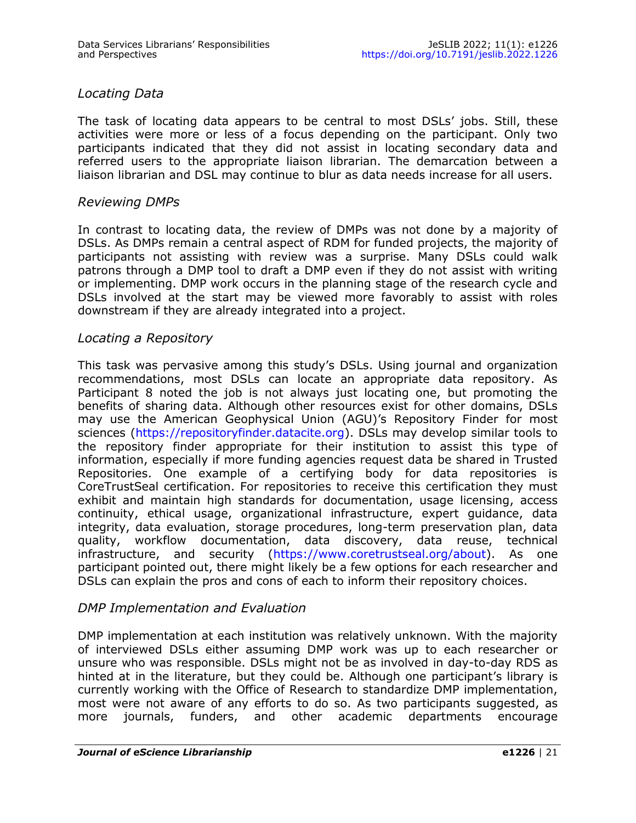# *Locating Data*

The task of locating data appears to be central to most DSLs' jobs. Still, these activities were more or less of a focus depending on the participant. Only two participants indicated that they did not assist in locating secondary data and referred users to the appropriate liaison librarian. The demarcation between a liaison librarian and DSL may continue to blur as data needs increase for all users.

#### *Reviewing DMPs*

In contrast to locating data, the review of DMPs was not done by a majority of DSLs. As DMPs remain a central aspect of RDM for funded projects, the majority of participants not assisting with review was a surprise. Many DSLs could walk patrons through a DMP tool to draft a DMP even if they do not assist with writing or implementing. DMP work occurs in the planning stage of the research cycle and DSLs involved at the start may be viewed more favorably to assist with roles downstream if they are already integrated into a project.

#### *Locating a Repository*

This task was pervasive among this study's DSLs. Using journal and organization recommendations, most DSLs can locate an appropriate data repository. As Participant 8 noted the job is not always just locating one, but promoting the benefits of sharing data. Although other resources exist for other domains, DSLs may use the American Geophysical Union (AGU)'s Repository Finder for most sciences ([https://repositoryfinder.datacite.org\).](https://repositoryfinder.datacite.org) DSLs may develop similar tools to the repository finder appropriate for their institution to assist this type of information, especially if more funding agencies request data be shared in Trusted Repositories. One example of a certifying body for data repositories is CoreTrustSeal certification. For repositories to receive this certification they must exhibit and maintain high standards for documentation, usage licensing, access continuity, ethical usage, organizational infrastructure, expert guidance, data integrity, data evaluation, storage procedures, long-term preservation plan, data quality, workflow documentation, data discovery, data reuse, technical infrastructure, and security [\(https://www.coretrustseal.org/about\).](https://www.coretrustseal.org/about) As one participant pointed out, there might likely be a few options for each researcher and DSLs can explain the pros and cons of each to inform their repository choices.

#### *DMP Implementation and Evaluation*

DMP implementation at each institution was relatively unknown. With the majority of interviewed DSLs either assuming DMP work was up to each researcher or unsure who was responsible. DSLs might not be as involved in day-to-day RDS as hinted at in the literature, but they could be. Although one participant's library is currently working with the Office of Research to standardize DMP implementation, most were not aware of any efforts to do so. As two participants suggested, as more journals, funders, and other academic departments encourage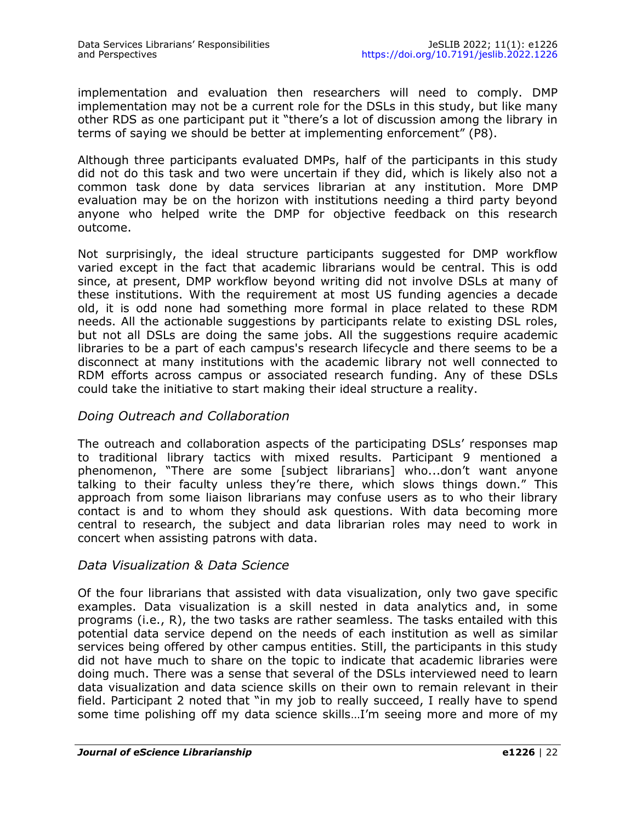implementation and evaluation then researchers will need to comply. DMP implementation may not be a current role for the DSLs in this study, but like many other RDS as one participant put it "there's a lot of discussion among the library in terms of saying we should be better at implementing enforcement" (P8).

Although three participants evaluated DMPs, half of the participants in this study did not do this task and two were uncertain if they did, which is likely also not a common task done by data services librarian at any institution. More DMP evaluation may be on the horizon with institutions needing a third party beyond anyone who helped write the DMP for objective feedback on this research outcome.

Not surprisingly, the ideal structure participants suggested for DMP workflow varied except in the fact that academic librarians would be central. This is odd since, at present, DMP workflow beyond writing did not involve DSLs at many of these institutions. With the requirement at most US funding agencies a decade old, it is odd none had something more formal in place related to these RDM needs. All the actionable suggestions by participants relate to existing DSL roles, but not all DSLs are doing the same jobs. All the suggestions require academic libraries to be a part of each campus's research lifecycle and there seems to be a disconnect at many institutions with the academic library not well connected to RDM efforts across campus or associated research funding. Any of these DSLs could take the initiative to start making their ideal structure a reality.

#### *Doing Outreach and Collaboration*

The outreach and collaboration aspects of the participating DSLs' responses map to traditional library tactics with mixed results. Participant 9 mentioned a phenomenon, "There are some [subject librarians] who...don't want anyone talking to their faculty unless they're there, which slows things down." This approach from some liaison librarians may confuse users as to who their library contact is and to whom they should ask questions. With data becoming more central to research, the subject and data librarian roles may need to work in concert when assisting patrons with data.

#### *Data Visualization & Data Science*

Of the four librarians that assisted with data visualization, only two gave specific examples. Data visualization is a skill nested in data analytics and, in some programs (i.e., R), the two tasks are rather seamless. The tasks entailed with this potential data service depend on the needs of each institution as well as similar services being offered by other campus entities. Still, the participants in this study did not have much to share on the topic to indicate that academic libraries were doing much. There was a sense that several of the DSLs interviewed need to learn data visualization and data science skills on their own to remain relevant in their field. Participant 2 noted that "in my job to really succeed, I really have to spend some time polishing off my data science skills…I'm seeing more and more of my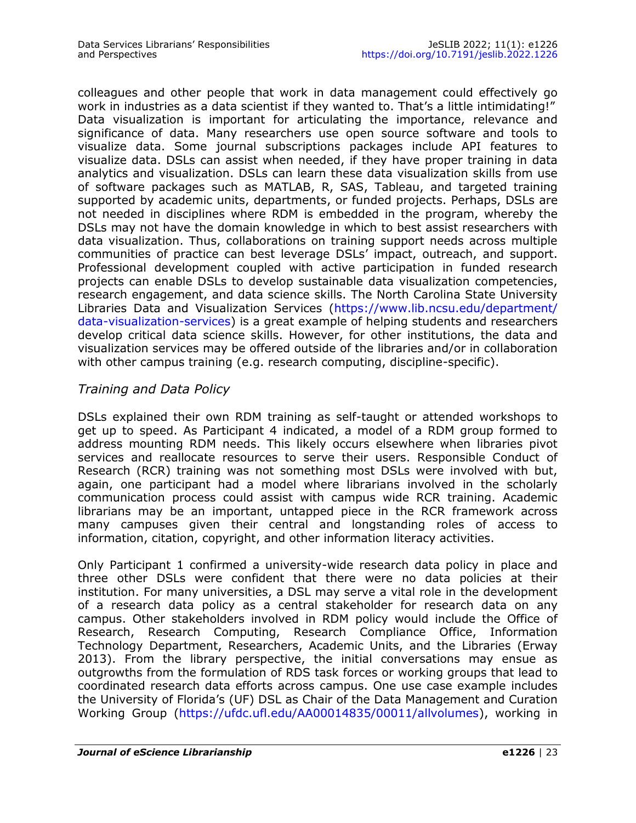colleagues and other people that work in data management could effectively go work in industries as a data scientist if they wanted to. That's a little intimidating!" Data visualization is important for articulating the importance, relevance and significance of data. Many researchers use open source software and tools to visualize data. Some journal subscriptions packages include API features to visualize data. DSLs can assist when needed, if they have proper training in data analytics and visualization. DSLs can learn these data visualization skills from use of software packages such as MATLAB, R, SAS, Tableau, and targeted training supported by academic units, departments, or funded projects. Perhaps, DSLs are not needed in disciplines where RDM is embedded in the program, whereby the DSLs may not have the domain knowledge in which to best assist researchers with data visualization. Thus, collaborations on training support needs across multiple communities of practice can best leverage DSLs' impact, outreach, and support. Professional development coupled with active participation in funded research projects can enable DSLs to develop sustainable data visualization competencies, research engagement, and data science skills. The North Carolina State University Libraries Data and Visualization Services ([https://www.lib.ncsu.edu/department/](https://www.lib.ncsu.edu/department/data-visualization-services) data-[visualization](https://www.lib.ncsu.edu/department/data-visualization-services)-services) is a great example of helping students and researchers develop critical data science skills. However, for other institutions, the data and visualization services may be offered outside of the libraries and/or in collaboration with other campus training (e.g. research computing, discipline-specific).

# *Training and Data Policy*

DSLs explained their own RDM training as self-taught or attended workshops to get up to speed. As Participant 4 indicated, a model of a RDM group formed to address mounting RDM needs. This likely occurs elsewhere when libraries pivot services and reallocate resources to serve their users. Responsible Conduct of Research (RCR) training was not something most DSLs were involved with but, again, one participant had a model where librarians involved in the scholarly communication process could assist with campus wide RCR training. Academic librarians may be an important, untapped piece in the RCR framework across many campuses given their central and longstanding roles of access to information, citation, copyright, and other information literacy activities.

Only Participant 1 confirmed a university-wide research data policy in place and three other DSLs were confident that there were no data policies at their institution. For many universities, a DSL may serve a vital role in the development of a research data policy as a central stakeholder for research data on any campus. Other stakeholders involved in RDM policy would include the Office of Research, Research Computing, Research Compliance Office, Information Technology Department, Researchers, Academic Units, and the Libraries (Erway 2013). From the library perspective, the initial conversations may ensue as outgrowths from the formulation of RDS task forces or working groups that lead to coordinated research data efforts across campus. One use case example includes the University of Florida's (UF) DSL as Chair of the Data Management and Curation Working Group [\(https://ufdc.ufl.edu/AA00014835/00011/allvolumes\)](https://ufdc.ufl.edu/AA00014835/00011/allvolumes), working in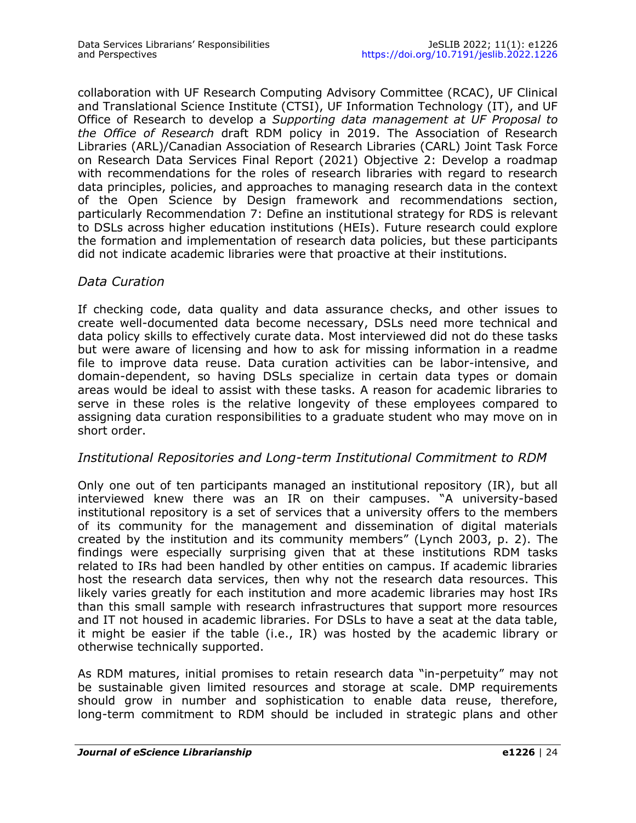collaboration with UF Research Computing Advisory Committee (RCAC), UF Clinical and Translational Science Institute (CTSI), UF Information Technology (IT), and UF Office of Research to develop a *Supporting data management at UF Proposal to the Office of Research* draft RDM policy in 2019. The Association of Research Libraries (ARL)/Canadian Association of Research Libraries (CARL) Joint Task Force on Research Data Services Final Report (2021) Objective 2: Develop a roadmap with recommendations for the roles of research libraries with regard to research data principles, policies, and approaches to managing research data in the context of the Open Science by Design framework and recommendations section, particularly Recommendation 7: Define an institutional strategy for RDS is relevant to DSLs across higher education institutions (HEIs). Future research could explore the formation and implementation of research data policies, but these participants did not indicate academic libraries were that proactive at their institutions.

#### *Data Curation*

If checking code, data quality and data assurance checks, and other issues to create well-documented data become necessary, DSLs need more technical and data policy skills to effectively curate data. Most interviewed did not do these tasks but were aware of licensing and how to ask for missing information in a readme file to improve data reuse. Data curation activities can be labor-intensive, and domain-dependent, so having DSLs specialize in certain data types or domain areas would be ideal to assist with these tasks. A reason for academic libraries to serve in these roles is the relative longevity of these employees compared to assigning data curation responsibilities to a graduate student who may move on in short order.

#### *Institutional Repositories and Long-term Institutional Commitment to RDM*

Only one out of ten participants managed an institutional repository (IR), but all interviewed knew there was an IR on their campuses. "A university-based institutional repository is a set of services that a university offers to the members of its community for the management and dissemination of digital materials created by the institution and its community members" (Lynch 2003, p. 2). The findings were especially surprising given that at these institutions RDM tasks related to IRs had been handled by other entities on campus. If academic libraries host the research data services, then why not the research data resources. This likely varies greatly for each institution and more academic libraries may host IRs than this small sample with research infrastructures that support more resources and IT not housed in academic libraries. For DSLs to have a seat at the data table, it might be easier if the table (i.e., IR) was hosted by the academic library or otherwise technically supported.

As RDM matures, initial promises to retain research data "in-perpetuity" may not be sustainable given limited resources and storage at scale. DMP requirements should grow in number and sophistication to enable data reuse, therefore, long-term commitment to RDM should be included in strategic plans and other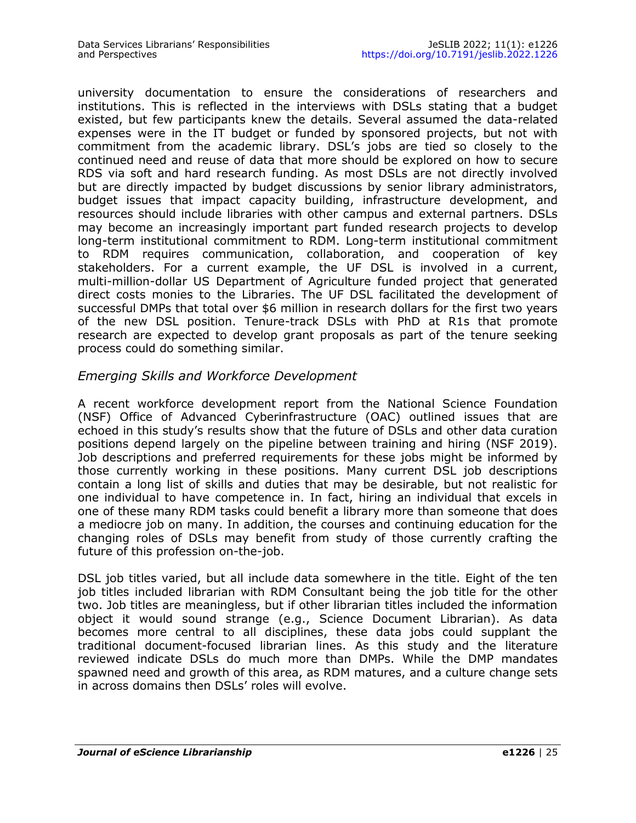university documentation to ensure the considerations of researchers and institutions. This is reflected in the interviews with DSLs stating that a budget existed, but few participants knew the details. Several assumed the data-related expenses were in the IT budget or funded by sponsored projects, but not with commitment from the academic library. DSL's jobs are tied so closely to the continued need and reuse of data that more should be explored on how to secure RDS via soft and hard research funding. As most DSLs are not directly involved but are directly impacted by budget discussions by senior library administrators, budget issues that impact capacity building, infrastructure development, and resources should include libraries with other campus and external partners. DSLs may become an increasingly important part funded research projects to develop long-term institutional commitment to RDM. Long-term institutional commitment to RDM requires communication, collaboration, and cooperation of key stakeholders. For a current example, the UF DSL is involved in a current, multi-million-dollar US Department of Agriculture funded project that generated direct costs monies to the Libraries. The UF DSL facilitated the development of successful DMPs that total over \$6 million in research dollars for the first two years of the new DSL position. Tenure-track DSLs with PhD at R1s that promote research are expected to develop grant proposals as part of the tenure seeking process could do something similar.

### *Emerging Skills and Workforce Development*

A recent workforce development report from the National Science Foundation (NSF) Office of Advanced Cyberinfrastructure (OAC) outlined issues that are echoed in this study's results show that the future of DSLs and other data curation positions depend largely on the pipeline between training and hiring (NSF 2019). Job descriptions and preferred requirements for these jobs might be informed by those currently working in these positions. Many current DSL job descriptions contain a long list of skills and duties that may be desirable, but not realistic for one individual to have competence in. In fact, hiring an individual that excels in one of these many RDM tasks could benefit a library more than someone that does a mediocre job on many. In addition, the courses and continuing education for the changing roles of DSLs may benefit from study of those currently crafting the future of this profession on-the-job.

DSL job titles varied, but all include data somewhere in the title. Eight of the ten job titles included librarian with RDM Consultant being the job title for the other two. Job titles are meaningless, but if other librarian titles included the information object it would sound strange (e.g., Science Document Librarian). As data becomes more central to all disciplines, these data jobs could supplant the traditional document-focused librarian lines. As this study and the literature reviewed indicate DSLs do much more than DMPs. While the DMP mandates spawned need and growth of this area, as RDM matures, and a culture change sets in across domains then DSLs' roles will evolve.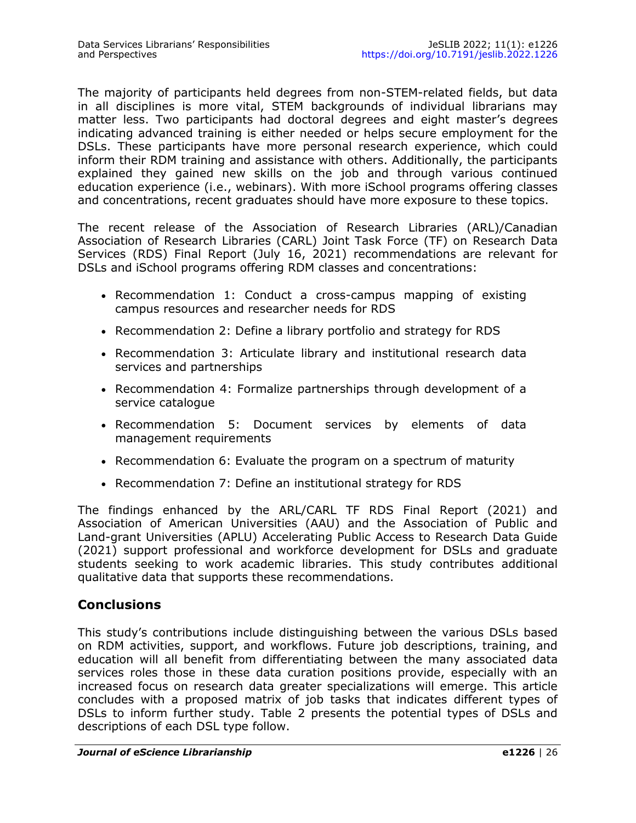The majority of participants held degrees from non-STEM-related fields, but data in all disciplines is more vital, STEM backgrounds of individual librarians may matter less. Two participants had doctoral degrees and eight master's degrees indicating advanced training is either needed or helps secure employment for the DSLs. These participants have more personal research experience, which could inform their RDM training and assistance with others. Additionally, the participants explained they gained new skills on the job and through various continued education experience (i.e., webinars). With more iSchool programs offering classes and concentrations, recent graduates should have more exposure to these topics.

The recent release of the Association of Research Libraries (ARL)/Canadian Association of Research Libraries (CARL) Joint Task Force (TF) on Research Data Services (RDS) Final Report (July 16, 2021) recommendations are relevant for DSLs and iSchool programs offering RDM classes and concentrations:

- Recommendation 1: Conduct a cross-campus mapping of existing campus resources and researcher needs for RDS
- Recommendation 2: Define a library portfolio and strategy for RDS
- Recommendation 3: Articulate library and institutional research data services and partnerships
- Recommendation 4: Formalize partnerships through development of a service catalogue
- Recommendation 5: Document services by elements of data management requirements
- Recommendation 6: Evaluate the program on a spectrum of maturity
- Recommendation 7: Define an institutional strategy for RDS

The findings enhanced by the ARL/CARL TF RDS Final Report (2021) and Association of American Universities (AAU) and the Association of Public and Land-grant Universities (APLU) Accelerating Public Access to Research Data Guide (2021) support professional and workforce development for DSLs and graduate students seeking to work academic libraries. This study contributes additional qualitative data that supports these recommendations.

#### **Conclusions**

This study's contributions include distinguishing between the various DSLs based on RDM activities, support, and workflows. Future job descriptions, training, and education will all benefit from differentiating between the many associated data services roles those in these data curation positions provide, especially with an increased focus on research data greater specializations will emerge. This article concludes with a proposed matrix of job tasks that indicates different types of DSLs to inform further study. Table 2 presents the potential types of DSLs and descriptions of each DSL type follow.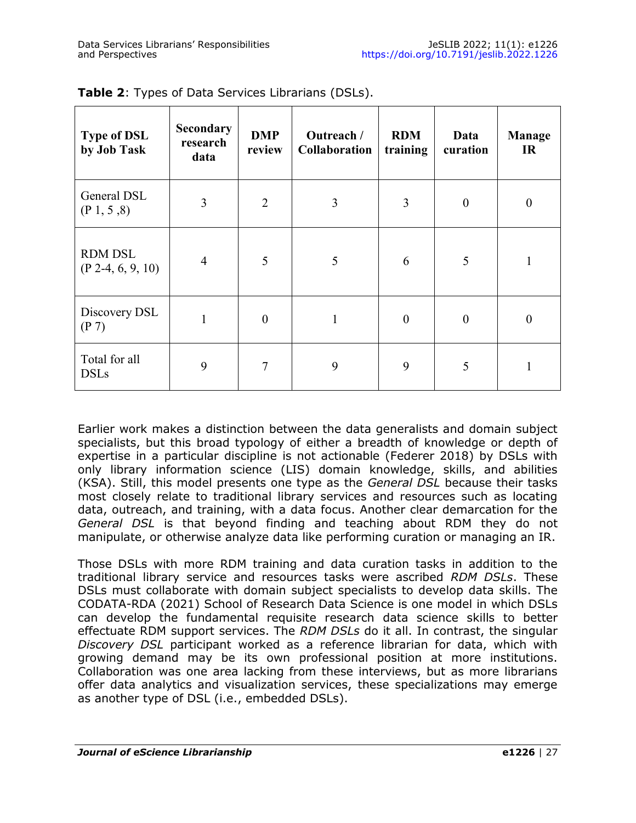| <b>Type of DSL</b><br>by Job Task      | <b>Secondary</b><br>research<br>data | <b>DMP</b><br>review | Outreach /<br><b>Collaboration</b> | <b>RDM</b><br>training | Data<br>curation | <b>Manage</b><br>IR |
|----------------------------------------|--------------------------------------|----------------------|------------------------------------|------------------------|------------------|---------------------|
| General DSL<br>(P <sub>1</sub> , 5, 8) | 3                                    | $\overline{2}$       | 3                                  | 3                      | $\boldsymbol{0}$ | $\theta$            |
| <b>RDM DSL</b><br>$(P 2-4, 6, 9, 10)$  | $\overline{4}$                       | 5                    | 5                                  | 6                      | 5                |                     |
| Discovery DSL<br>(P 7)                 | 1                                    | $\overline{0}$       | 1                                  | $\theta$               | $\boldsymbol{0}$ | $\Omega$            |
| Total for all<br><b>DSLs</b>           | 9                                    | $\tau$               | 9                                  | 9                      | 5                |                     |

**Table 2**: Types of Data Services Librarians (DSLs).

Earlier work makes a distinction between the data generalists and domain subject specialists, but this broad typology of either a breadth of knowledge or depth of expertise in a particular discipline is not actionable (Federer 2018) by DSLs with only library information science (LIS) domain knowledge, skills, and abilities (KSA). Still, this model presents one type as the *General DSL* because their tasks most closely relate to traditional library services and resources such as locating data, outreach, and training, with a data focus. Another clear demarcation for the *General DSL* is that beyond finding and teaching about RDM they do not manipulate, or otherwise analyze data like performing curation or managing an IR.

Those DSLs with more RDM training and data curation tasks in addition to the traditional library service and resources tasks were ascribed *RDM DSLs*. These DSLs must collaborate with domain subject specialists to develop data skills. The CODATA-RDA (2021) School of Research Data Science is one model in which DSLs can develop the fundamental requisite research data science skills to better effectuate RDM support services. The *RDM DSLs* do it all. In contrast, the singular *Discovery DSL* participant worked as a reference librarian for data, which with growing demand may be its own professional position at more institutions. Collaboration was one area lacking from these interviews, but as more librarians offer data analytics and visualization services, these specializations may emerge as another type of DSL (i.e., embedded DSLs).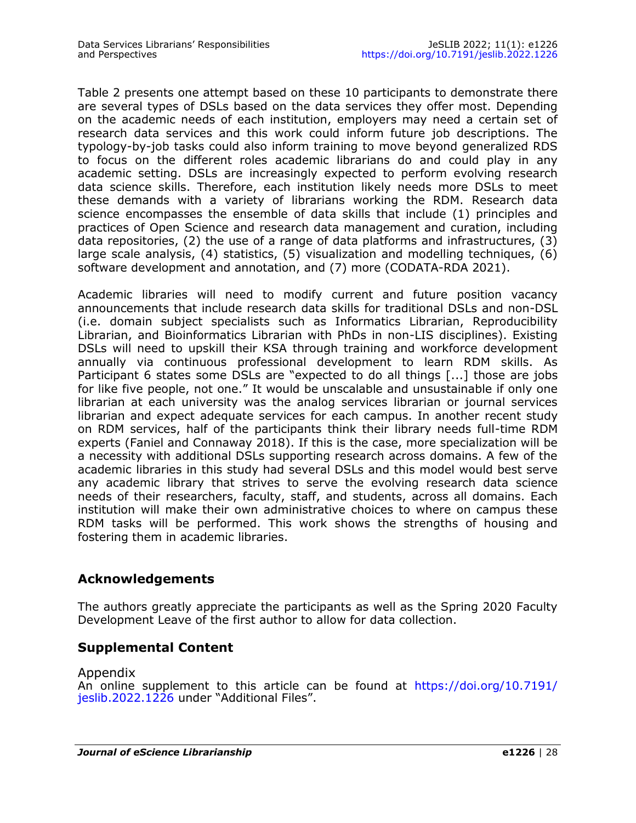Table 2 presents one attempt based on these 10 participants to demonstrate there are several types of DSLs based on the data services they offer most. Depending on the academic needs of each institution, employers may need a certain set of research data services and this work could inform future job descriptions. The typology-by-job tasks could also inform training to move beyond generalized RDS to focus on the different roles academic librarians do and could play in any academic setting. DSLs are increasingly expected to perform evolving research data science skills. Therefore, each institution likely needs more DSLs to meet these demands with a variety of librarians working the RDM. Research data science encompasses the ensemble of data skills that include (1) principles and practices of Open Science and research data management and curation, including data repositories, (2) the use of a range of data platforms and infrastructures, (3) large scale analysis, (4) statistics, (5) visualization and modelling techniques, (6) software development and annotation, and (7) more (CODATA-RDA 2021).

Academic libraries will need to modify current and future position vacancy announcements that include research data skills for traditional DSLs and non-DSL (i.e. domain subject specialists such as Informatics Librarian, Reproducibility Librarian, and Bioinformatics Librarian with PhDs in non-LIS disciplines). Existing DSLs will need to upskill their KSA through training and workforce development annually via continuous professional development to learn RDM skills. As Participant 6 states some DSLs are "expected to do all things [...] those are jobs for like five people, not one." It would be unscalable and unsustainable if only one librarian at each university was the analog services librarian or journal services librarian and expect adequate services for each campus. In another recent study on RDM services, half of the participants think their library needs full-time RDM experts (Faniel and Connaway 2018). If this is the case, more specialization will be a necessity with additional DSLs supporting research across domains. A few of the academic libraries in this study had several DSLs and this model would best serve any academic library that strives to serve the evolving research data science needs of their researchers, faculty, staff, and students, across all domains. Each institution will make their own administrative choices to where on campus these RDM tasks will be performed. This work shows the strengths of housing and fostering them in academic libraries.

# **Acknowledgements**

The authors greatly appreciate the participants as well as the Spring 2020 Faculty Development Leave of the first author to allow for data collection.

# **Supplemental Content**

Appendix

An online supplement to this article can be found at [https://doi.org/10.7191/](https://doi.org/10.7191/jeslib.2022.1226) [jeslib.2022.1226](https://doi.org/10.7191/jeslib.2022.1226) under "Additional Files".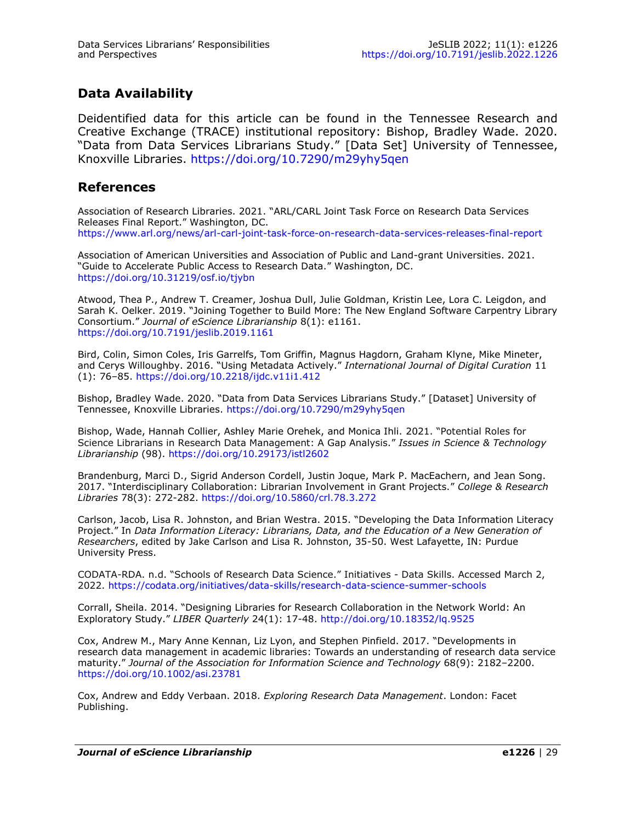# **Data Availability**

Deidentified data for this article can be found in the Tennessee Research and Creative Exchange (TRACE) institutional repository: Bishop, Bradley Wade. 2020. "Data from Data Services Librarians Study." [Data Set] University of Tennessee, Knoxville Libraries. <https://doi.org/10.7290/m29yhy5qen>

#### **References**

Association of Research Libraries. 2021. "ARL/CARL Joint Task Force on Research Data Services Releases Final Report." Washington, DC. [https://www.arl.org/news/arl](https://www.arl.org/news/arl-carl-joint-task-force-on-research-data-services-releases-final-report)-carl-joint-task-force-on-research-data-services-releases-final-report

Association of American Universities and Association of Public and Land-grant Universities. 2021. "Guide to Accelerate Public Access to Research Data." Washington, DC. <https://doi.org/10.31219/osf.io/tjybn>

Atwood, Thea P., Andrew T. Creamer, Joshua Dull, Julie Goldman, Kristin Lee, Lora C. Leigdon, and Sarah K. Oelker. 2019. "Joining Together to Build More: The New England Software Carpentry Library Consortium." *Journal of eScience Librarianship* 8(1): e1161. <https://doi.org/10.7191/jeslib.2019.1161>

Bird, Colin, Simon Coles, Iris Garrelfs, Tom Griffin, Magnus Hagdorn, Graham Klyne, Mike Mineter, and Cerys Willoughby. 2016. "Using Metadata Actively." *International Journal of Digital Curation* 11 (1): 76–85. <https://doi.org/10.2218/ijdc.v11i1.412>

Bishop, Bradley Wade. 2020. "Data from Data Services Librarians Study." [Dataset] University of Tennessee, Knoxville Libraries.<https://doi.org/10.7290/m29yhy5qen>

Bishop, Wade, Hannah Collier, Ashley Marie Orehek, and Monica Ihli. 2021. "Potential Roles for Science Librarians in Research Data Management: A Gap Analysis." *Issues in Science & Technology Librarianship* (98).<https://doi.org/10.29173/istl2602>

Brandenburg, Marci D., Sigrid Anderson Cordell, Justin Joque, Mark P. MacEachern, and Jean Song. 2017. "Interdisciplinary Collaboration: Librarian Involvement in Grant Projects." *College & Research Libraries* 78(3): 272-282.<https://doi.org/10.5860/crl.78.3.272>

Carlson, Jacob, Lisa R. Johnston, and Brian Westra. 2015. "Developing the Data Information Literacy Project." In *Data Information Literacy: Librarians, Data, and the Education of a New Generation of Researchers*, edited by Jake Carlson and Lisa R. Johnston, 35-50. West Lafayette, IN: Purdue University Press.

CODATA-RDA. n.d. "Schools of Research Data Science." Initiatives - Data Skills. Accessed March 2, 2022. [https://codata.org/initiatives/data](https://codata.org/initiatives/data-skills/research-data-science-summer-schools)-skills/research-data-science-summer-schools

Corrall, Sheila. 2014. "Designing Libraries for Research Collaboration in the Network World: An Exploratory Study." *LIBER Quarterly* 24(1): 17-48. <http://doi.org/10.18352/lq.9525>

Cox, Andrew M., Mary Anne Kennan, Liz Lyon, and Stephen Pinfield. 2017. "Developments in research data management in academic libraries: Towards an understanding of research data service maturity." *Journal of the Association for Information Science and Technology* 68(9): 2182–2200. <https://doi.org/10.1002/asi.23781>

Cox, Andrew and Eddy Verbaan. 2018. *Exploring Research Data Management*. London: Facet Publishing.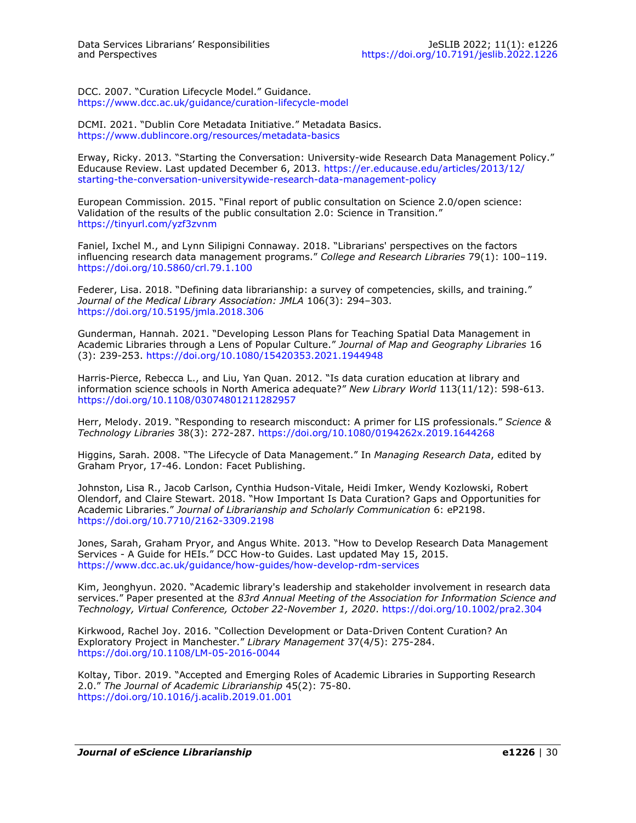DCC. 2007. "Curation Lifecycle Model." Guidance. [https://www.dcc.ac.uk/guidance/curation](https://www.dcc.ac.uk/guidance/curation-lifecycle-model)-lifecycle-model

DCMI. 2021. "Dublin Core Metadata Initiative." Metadata Basics. [https://www.dublincore.org/resources/metadata](https://www.dublincore.org/resources/metadata-basics)-basics

Erway, Ricky. 2013. "Starting the Conversation: University-wide Research Data Management Policy." Educause Review. Last updated December 6, 2013. [https://er.educause.edu/articles/2013/12/](https://er.educause.edu/articles/2013/12/starting-the-conversation-universitywide-research-data-management-policy) starting-the-conversation-[universitywide](https://er.educause.edu/articles/2013/12/starting-the-conversation-universitywide-research-data-management-policy)-research-data-management-policy

European Commission. 2015. "Final report of public consultation on Science 2.0/open science: Validation of the results of the public consultation 2.0: Science in Transition." <https://tinyurl.com/yzf3zvnm>

Faniel, Ixchel M., and Lynn Silipigni Connaway. 2018. "Librarians' perspectives on the factors influencing research data management programs." *College and Research Libraries* 79(1): 100–119. <https://doi.org/10.5860/crl.79.1.100>

Federer, Lisa. 2018. "Defining data librarianship: a survey of competencies, skills, and training." *Journal of the Medical Library Association: JMLA* 106(3): 294–303. <https://doi.org/10.5195/jmla.2018.306>

Gunderman, Hannah. 2021. "Developing Lesson Plans for Teaching Spatial Data Management in Academic Libraries through a Lens of Popular Culture." *Journal of Map and Geography Libraries* 16 (3): 239-253. <https://doi.org/10.1080/15420353.2021.1944948>

Harris-Pierce, Rebecca L., and Liu, Yan Quan. 2012. "Is data curation education at library and information science schools in North America adequate?" *New Library World* 113(11/12): 598-613. <https://doi.org/10.1108/03074801211282957>

Herr, Melody. 2019. "Responding to research misconduct: A primer for LIS professionals." *Science & Technology Libraries* 38(3): 272-287. <https://doi.org/10.1080/0194262x.2019.1644268>

Higgins, Sarah. 2008. "The Lifecycle of Data Management." In *Managing Research Data*, edited by Graham Pryor, 17-46. London: Facet Publishing.

Johnston, Lisa R., Jacob Carlson, Cynthia Hudson-Vitale, Heidi Imker, Wendy Kozlowski, Robert Olendorf, and Claire Stewart. 2018. "How Important Is Data Curation? Gaps and Opportunities for Academic Libraries." *Journal of Librarianship and Scholarly Communication* 6: eP2198. [https://doi.org/10.7710/2162](https://doi.org/10.7710/2162-3309.2198)-3309.2198

Jones, Sarah, Graham Pryor, and Angus White. 2013. "How to Develop Research Data Management Services - A Guide for HEIs." DCC How-to Guides. Last updated May 15, 2015. [https://www.dcc.ac.uk/guidance/how](https://www.dcc.ac.uk/guidance/how-guides/how-develop-rdm-services)-guides/how-develop-rdm-services

Kim, Jeonghyun. 2020. "Academic library's leadership and stakeholder involvement in research data services." Paper presented at the *83rd Annual Meeting of the Association for Information Science and Technology, Virtual Conference, October 22-November 1, 2020*.<https://doi.org/10.1002/pra2.304>

Kirkwood, Rachel Joy. 2016. "Collection Development or Data-Driven Content Curation? An Exploratory Project in Manchester." *Library Management* 37(4/5): 275-284. [https://doi.org/10.1108/LM](https://doi.org/10.1108/LM-05-2016-0044)-05-2016-0044

Koltay, Tibor. 2019. "Accepted and Emerging Roles of Academic Libraries in Supporting Research 2.0." *The Journal of Academic Librarianship* 45(2): 75-80. <https://doi.org/10.1016/j.acalib.2019.01.001>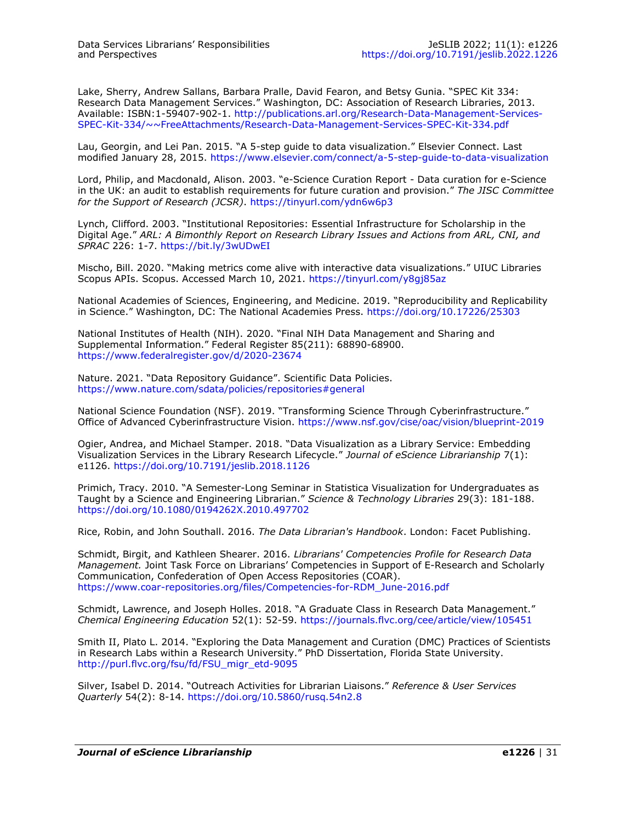Lake, Sherry, Andrew Sallans, Barbara Pralle, David Fearon, and Betsy Gunia. "SPEC Kit 334: Research Data Management Services." Washington, DC: Association of Research Libraries, 2013. Available: ISBN:1-59407-902-1. [http://publications.arl.org/Research](http://publications.arl.org/Research-Data-Management-Services-SPEC-Kit-334/~~FreeAttachments/Research-Data-Management-Services-SPEC-Kit-334.pdf)-Data-Management-Services-SPEC-Kit-[334/~~FreeAttachments/Research](http://publications.arl.org/Research-Data-Management-Services-SPEC-Kit-334/~~FreeAttachments/Research-Data-Management-Services-SPEC-Kit-334.pdf)-Data-Management-Services-SPEC-Kit-334.pdf

Lau, Georgin, and Lei Pan. 2015. "A 5-step guide to data visualization." Elsevier Connect. Last modified January 28, 2015. [https://www.elsevier.com/connect/a](https://www.elsevier.com/connect/a-5-step-guide-to-data-visualization)-5-step-guide-to-data-visualization

Lord, Philip, and Macdonald, Alison. 2003. "e-Science Curation Report - Data curation for e-Science in the UK: an audit to establish requirements for future curation and provision." *The JISC Committee for the Support of Research (JCSR)*.<https://tinyurl.com/ydn6w6p3>

Lynch, Clifford. 2003. "Institutional Repositories: Essential Infrastructure for Scholarship in the Digital Age." *ARL: A Bimonthly Report on Research Library Issues and Actions from ARL, CNI, and SPRAC* 226: 1-7. <https://bit.ly/3wUDwEI>

Mischo, Bill. 2020. "Making metrics come alive with interactive data visualizations." UIUC Libraries Scopus APIs. Scopus. Accessed March 10, 2021. <https://tinyurl.com/y8gj85az>

National Academies of Sciences, Engineering, and Medicine. 2019. "Reproducibility and Replicability in Science." Washington, DC: The National Academies Press.<https://doi.org/10.17226/25303>

National Institutes of Health (NIH). 2020. "Final NIH Data Management and Sharing and Supplemental Information." Federal Register 85(211): 68890-68900. [https://www.federalregister.gov/d/2020](https://www.federalregister.gov/d/2020-23674)-23674

Nature. 2021. "Data Repository Guidance". Scientific Data Policies. <https://www.nature.com/sdata/policies/repositories#general>

National Science Foundation (NSF). 2019. "Transforming Science Through Cyberinfrastructure." Office of Advanced Cyberinfrastructure Vision. [https://www.nsf.gov/cise/oac/vision/blueprint](https://www.nsf.gov/cise/oac/vision/blueprint-2019)-2019

Ogier, Andrea, and Michael Stamper. 2018. "Data Visualization as a Library Service: Embedding Visualization Services in the Library Research Lifecycle." *Journal of eScience Librarianship* 7(1): e1126. <https://doi.org/10.7191/jeslib.2018.1126>

Primich, Tracy. 2010. "A Semester-Long Seminar in Statistica Visualization for Undergraduates as Taught by a Science and Engineering Librarian." *Science & Technology Libraries* 29(3): 181-188. <https://doi.org/10.1080/0194262X.2010.497702>

Rice, Robin, and John Southall. 2016. *The Data Librarian's Handbook*. London: Facet Publishing.

Schmidt, Birgit, and Kathleen Shearer. 2016. *Librarians' Competencies Profile for Research Data Management.* Joint Task Force on Librarians' Competencies in Support of E-Research and Scholarly Communication, Confederation of Open Access Repositories (COAR). https://www.coar-[repositories.org/files/Competencies](https://www.coar-repositories.org/files/Competencies-for-RDM_June-2016.pdf)-for-RDM\_June-2016.pdf

Schmidt, Lawrence, and Joseph Holles. 2018. "A Graduate Class in Research Data Management." *Chemical Engineering Education* 52(1): 52-59.<https://journals.flvc.org/cee/article/view/105451>

Smith II, Plato L. 2014. "Exploring the Data Management and Curation (DMC) Practices of Scientists in Research Labs within a Research University." PhD Dissertation, Florida State University. [http://purl.flvc.org/fsu/fd/FSU\\_migr\\_etd](http://purl.flvc.org/fsu/fd/FSU_migr_etd-9095)-9095

Silver, Isabel D. 2014. "Outreach Activities for Librarian Liaisons." *Reference & User Services Quarterly* 54(2): 8-14. <https://doi.org/10.5860/rusq.54n2.8>